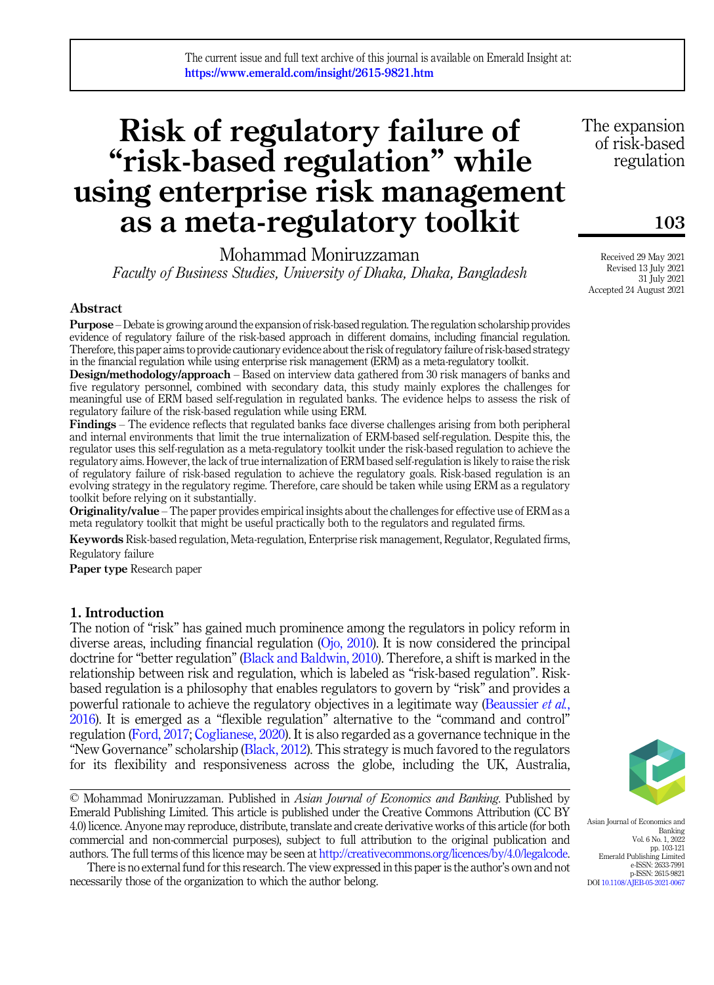# Risk of regulatory failure of "risk-based regulation" while using enterprise risk management as a meta-regulatory toolkit

Mohammad Moniruzzaman

Faculty of Business Studies, University of Dhaka, Dhaka, Bangladesh

## Abstract

Purpose – Debate is growing around the expansion of risk-based regulation. The regulation scholarship provides evidence of regulatory failure of the risk-based approach in different domains, including financial regulation. Therefore, this paper aims to provide cautionary evidence about the risk of regulatory failure of risk-based strategy in the financial regulation while using enterprise risk management (ERM) as a meta-regulatory toolkit.

Design/methodology/approach – Based on interview data gathered from 30 risk managers of banks and five regulatory personnel, combined with secondary data, this study mainly explores the challenges for meaningful use of ERM based self-regulation in regulated banks. The evidence helps to assess the risk of regulatory failure of the risk-based regulation while using ERM.

Findings – The evidence reflects that regulated banks face diverse challenges arising from both peripheral and internal environments that limit the true internalization of ERM-based self-regulation. Despite this, the regulator uses this self-regulation as a meta-regulatory toolkit under the risk-based regulation to achieve the regulatory aims. However, the lack of true internalization of ERM based self-regulation is likely to raise the risk of regulatory failure of risk-based regulation to achieve the regulatory goals. Risk-based regulation is an evolving strategy in the regulatory regime. Therefore, care should be taken while using ERM as a regulatory toolkit before relying on it substantially.

Originality/value – The paper provides empirical insights about the challenges for effective use of ERM as a meta regulatory toolkit that might be useful practically both to the regulators and regulated firms.

Keywords Risk-based regulation, Meta-regulation, Enterprise risk management, Regulator, Regulated firms, Regulatory failure

Paper type Research paper

# 1. Introduction

The notion of "risk" has gained much prominence among the regulators in policy reform in diverse areas, including financial regulation ([Ojo, 2010\)](#page-15-0). It is now considered the principal doctrine for "better regulation" [\(Black and Baldwin, 2010](#page-14-0)). Therefore, a shift is marked in the relationship between risk and regulation, which is labeled as "risk-based regulation". Riskbased regulation is a philosophy that enables regulators to govern by "risk" and provides a powerful rationale to achieve the regulatory objectives in a legitimate way [\(Beaussier](#page-14-1) *et al.*, [2016\)](#page-14-1). It is emerged as a "flexible regulation" alternative to the "command and control" regulation [\(Ford, 2017;](#page-15-1) [Coglianese, 2020\)](#page-15-2). It is also regarded as a governance technique in the "New Governance" scholarship ([Black, 2012\)](#page-14-2). This strategy is much favored to the regulators for its flexibility and responsiveness across the globe, including the UK, Australia,

© Mohammad Moniruzzaman. Published in Asian Journal of Economics and Banking. Published by Emerald Publishing Limited. This article is published under the Creative Commons Attribution (CC BY 4.0) licence. Anyone may reproduce, distribute, translate and create derivative works of this article (for both commercial and non-commercial purposes), subject to full attribution to the original publication and authors. The full terms of this licence may be seen at <http://creativecommons.org/licences/by/4.0/legalcode>.

There is no external fund for this research. The view expressed in this paper is the author's own and not necessarily those of the organization to which the author belong.

Asian Journal of Economics and Banking Vol. 6 No. 1, 2022 pp. 103-121 Emerald Publishing Limited e-ISSN: 2633-7991 p-ISSN: 2615-9821 DOI [10.1108/AJEB-05-2021-0067](https://doi.org/10.1108/AJEB-05-2021-0067)

Received 29 May 2021 Revised 13 July 2021 31 July 2021 Accepted 24 August 2021

103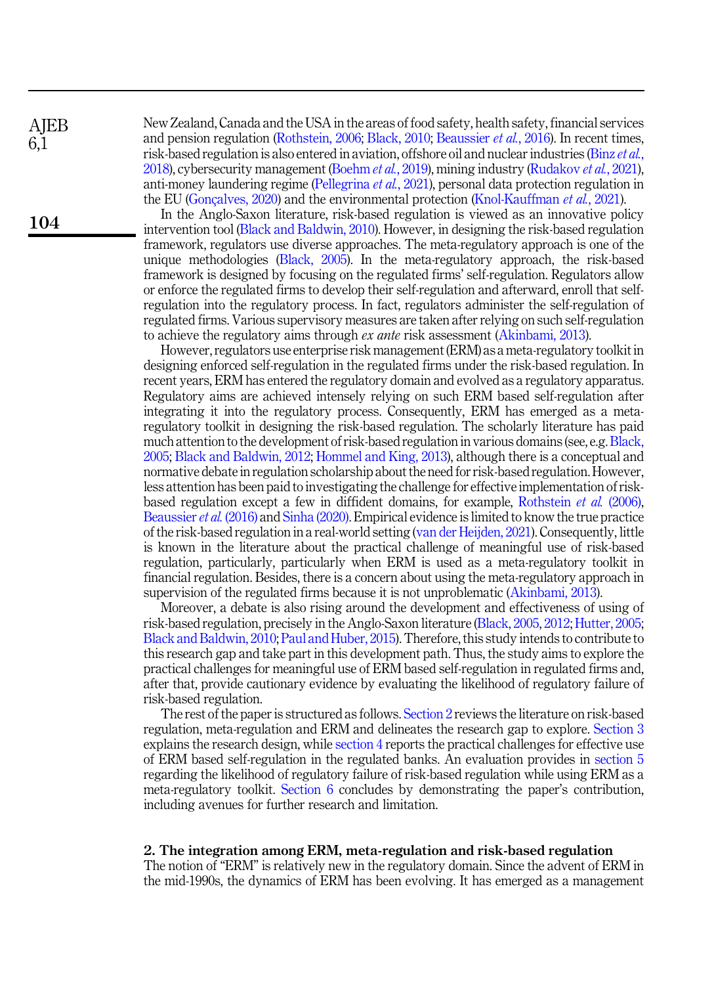**AIEB** 6,1

104

New Zealand, Canada and the USA in the areas of food safety, health safety, financial services and pension regulation [\(Rothstein, 2006;](#page-16-0) [Black, 2010](#page-14-3); [Beaussier](#page-14-1) et al., 2016). In recent times, risk-based regulation is also entered in aviation, offshore oil and nuclear industries [\(Binz](#page-14-4) et al., [2018\)](#page-14-4), cybersecurity management [\(Boehm](#page-14-5) et al., 2019), mining industry ([Rudakov](#page-16-1) et al., 2021), anti-money laundering regime ([Pellegrina](#page-15-3) et al., 2021), personal data protection regulation in the EU ([Gonçalves, 2020\)](#page-15-4) and the environmental protection [\(Knol-Kauffman](#page-15-5) *et al.*, 2021).

In the Anglo-Saxon literature, risk-based regulation is viewed as an innovative policy intervention tool ([Black and Baldwin, 2010\)](#page-14-0). However, in designing the risk-based regulation framework, regulators use diverse approaches. The meta-regulatory approach is one of the unique methodologies [\(Black, 2005\)](#page-14-6). In the meta-regulatory approach, the risk-based framework is designed by focusing on the regulated firms' self-regulation. Regulators allow or enforce the regulated firms to develop their self-regulation and afterward, enroll that selfregulation into the regulatory process. In fact, regulators administer the self-regulation of regulated firms. Various supervisory measures are taken after relying on such self-regulation to achieve the regulatory aims through *ex ante* risk assessment [\(Akinbami, 2013\)](#page-14-7).

However, regulators use enterprise risk management (ERM) as a meta-regulatory toolkit in designing enforced self-regulation in the regulated firms under the risk-based regulation. In recent years, ERM has entered the regulatory domain and evolved as a regulatory apparatus. Regulatory aims are achieved intensely relying on such ERM based self-regulation after integrating it into the regulatory process. Consequently, ERM has emerged as a metaregulatory toolkit in designing the risk-based regulation. The scholarly literature has paid much attention to the development of risk-based regulation in various domains (see, e.g. [Black,](#page-14-6) [2005;](#page-14-6) [Black and Baldwin, 2012;](#page-14-8) [Hommel and King, 2013](#page-15-6)), although there is a conceptual and normative debate in regulation scholarship about the need for risk-based regulation. However, less attention has been paid to investigating the challenge for effective implementation of riskbased regulation except a few in diffident domains, for example, [Rothstein](#page-16-2) et al. (2006), [Beaussier](#page-14-1) et al. (2016) and [Sinha \(2020\)](#page-16-3). Empirical evidence is limited to know the true practice of the risk-based regulation in a real-world setting ([van der Heijden, 2021](#page-16-4)). Consequently, little is known in the literature about the practical challenge of meaningful use of risk-based regulation, particularly, particularly when ERM is used as a meta-regulatory toolkit in financial regulation. Besides, there is a concern about using the meta-regulatory approach in supervision of the regulated firms because it is not unproblematic [\(Akinbami, 2013](#page-14-7)).

Moreover, a debate is also rising around the development and effectiveness of using of risk-based regulation, precisely in the Anglo-Saxon literature ([Black, 2005,](#page-14-6) [2012;](#page-14-2) [Hutter, 2005](#page-15-7); [Black and Baldwin, 2010;](#page-14-0) [Paul and Huber, 2015](#page-15-8)). Therefore, this study intends to contribute to this research gap and take part in this development path. Thus, the study aims to explore the practical challenges for meaningful use of ERM based self-regulation in regulated firms and, after that, provide cautionary evidence by evaluating the likelihood of regulatory failure of risk-based regulation.

The rest of the paper is structured as follows. [Section 2](#page-1-0) reviews the literature on risk-based regulation, meta-regulation and ERM and delineates the research gap to explore. [Section 3](#page-3-0) explains the research design, while [section 4](#page-4-0) reports the practical challenges for effective use of ERM based self-regulation in the regulated banks. An evaluation provides in [section 5](#page-11-0) regarding the likelihood of regulatory failure of risk-based regulation while using ERM as a meta-regulatory toolkit. [Section 6](#page-13-0) concludes by demonstrating the paper's contribution, including avenues for further research and limitation.

# <span id="page-1-0"></span>2. The integration among ERM, meta-regulation and risk-based regulation

The notion of "ERM" is relatively new in the regulatory domain. Since the advent of ERM in the mid-1990s, the dynamics of ERM has been evolving. It has emerged as a management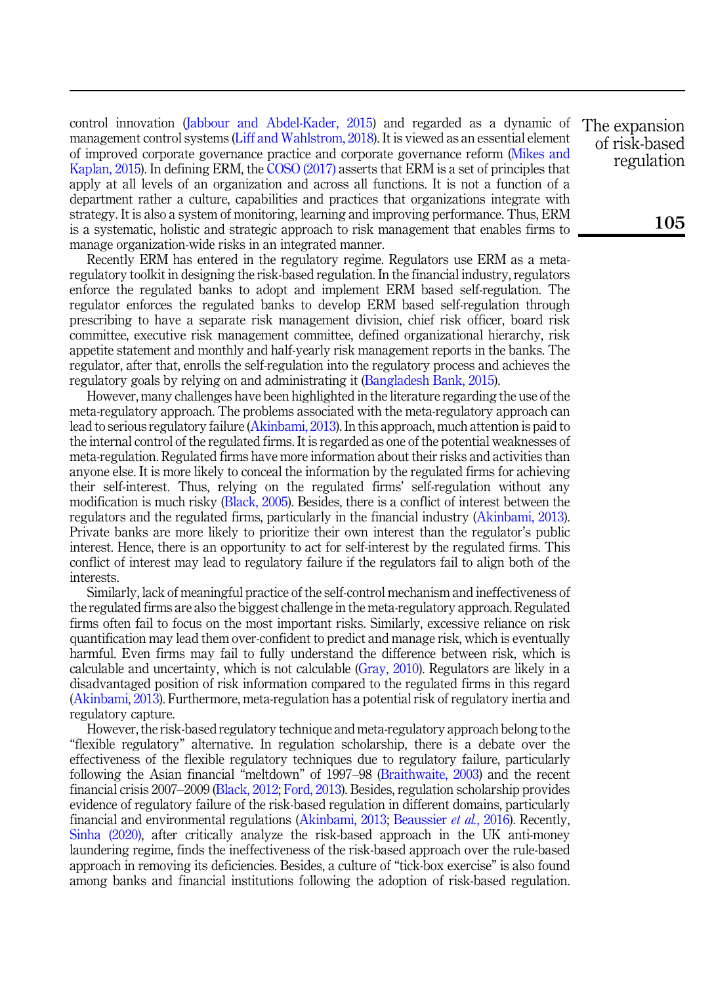control innovation ([Jabbour and Abdel-Kader, 2015](#page-15-9)) and regarded as a dynamic of management control systems [\(Liff and Wahlstrom, 2018](#page-15-10)). It is viewed as an essential element of improved corporate governance practice and corporate governance reform [\(Mikes and](#page-15-11) [Kaplan, 2015](#page-15-11)). In defining ERM, the [COSO \(2017\)](#page-15-12) asserts that ERM is a set of principles that apply at all levels of an organization and across all functions. It is not a function of a department rather a culture, capabilities and practices that organizations integrate with strategy. It is also a system of monitoring, learning and improving performance. Thus, ERM is a systematic, holistic and strategic approach to risk management that enables firms to manage organization-wide risks in an integrated manner.

Recently ERM has entered in the regulatory regime. Regulators use ERM as a metaregulatory toolkit in designing the risk-based regulation. In the financial industry, regulators enforce the regulated banks to adopt and implement ERM based self-regulation. The regulator enforces the regulated banks to develop ERM based self-regulation through prescribing to have a separate risk management division, chief risk officer, board risk committee, executive risk management committee, defined organizational hierarchy, risk appetite statement and monthly and half-yearly risk management reports in the banks. The regulator, after that, enrolls the self-regulation into the regulatory process and achieves the regulatory goals by relying on and administrating it [\(Bangladesh Bank, 2015\)](#page-14-9).

However, many challenges have been highlighted in the literature regarding the use of the meta-regulatory approach. The problems associated with the meta-regulatory approach can lead to serious regulatory failure ([Akinbami, 2013](#page-14-7)). In this approach, much attention is paid to the internal control of the regulated firms. It is regarded as one of the potential weaknesses of meta-regulation. Regulated firms have more information about their risks and activities than anyone else. It is more likely to conceal the information by the regulated firms for achieving their self-interest. Thus, relying on the regulated firms' self-regulation without any modification is much risky [\(Black, 2005\)](#page-14-6). Besides, there is a conflict of interest between the regulators and the regulated firms, particularly in the financial industry [\(Akinbami, 2013\)](#page-14-7). Private banks are more likely to prioritize their own interest than the regulator's public interest. Hence, there is an opportunity to act for self-interest by the regulated firms. This conflict of interest may lead to regulatory failure if the regulators fail to align both of the interests.

Similarly, lack of meaningful practice of the self-control mechanism and ineffectiveness of the regulated firms are also the biggest challenge in the meta-regulatory approach. Regulated firms often fail to focus on the most important risks. Similarly, excessive reliance on risk quantification may lead them over-confident to predict and manage risk, which is eventually harmful. Even firms may fail to fully understand the difference between risk, which is calculable and uncertainty, which is not calculable ([Gray, 2010](#page-15-13)). Regulators are likely in a disadvantaged position of risk information compared to the regulated firms in this regard ([Akinbami, 2013](#page-14-7)). Furthermore, meta-regulation has a potential risk of regulatory inertia and regulatory capture.

However, the risk-based regulatory technique and meta-regulatory approach belong to the "flexible regulatory" alternative. In regulation scholarship, there is a debate over the effectiveness of the flexible regulatory techniques due to regulatory failure, particularly following the Asian financial "meltdown" of 1997–98 [\(Braithwaite, 2003](#page-15-14)) and the recent financial crisis 2007–2009 [\(Black, 2012](#page-14-2); [Ford, 2013\)](#page-15-15). Besides, regulation scholarship provides evidence of regulatory failure of the risk-based regulation in different domains, particularly financial and environmental regulations ([Akinbami, 2013](#page-14-7); [Beaussier](#page-14-1) et al., 2016). Recently, [Sinha \(2020\),](#page-16-3) after critically analyze the risk-based approach in the UK anti-money laundering regime, finds the ineffectiveness of the risk-based approach over the rule-based approach in removing its deficiencies. Besides, a culture of "tick-box exercise" is also found among banks and financial institutions following the adoption of risk-based regulation.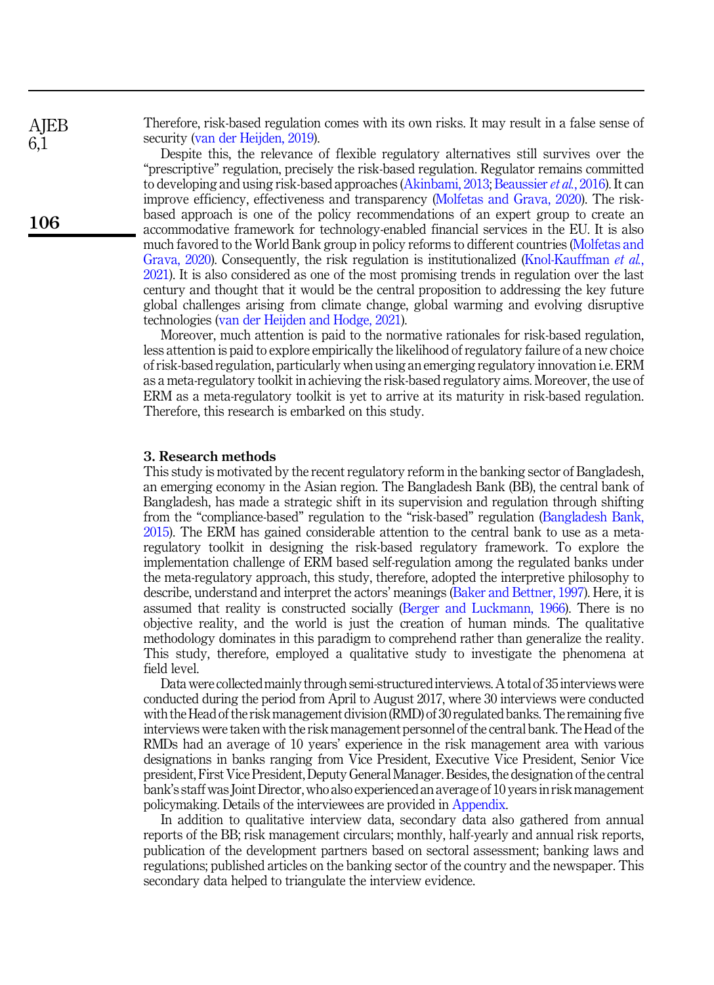Therefore, risk-based regulation comes with its own risks. It may result in a false sense of security [\(van der Heijden, 2019\)](#page-16-5).

Despite this, the relevance of flexible regulatory alternatives still survives over the "prescriptive" regulation, precisely the risk-based regulation. Regulator remains committed to developing and using risk-based approaches ([Akinbami, 2013](#page-14-7); [Beaussier](#page-14-1) et al., 2016). It can improve efficiency, effectiveness and transparency [\(Molfetas and Grava, 2020\)](#page-15-16). The riskbased approach is one of the policy recommendations of an expert group to create an accommodative framework for technology-enabled financial services in the EU. It is also much favored to the World Bank group in policy reforms to different countries [\(Molfetas and](#page-15-16) [Grava, 2020\)](#page-15-16). Consequently, the risk regulation is institutionalized ([Knol-Kauffman](#page-15-5) et al., [2021\)](#page-15-5). It is also considered as one of the most promising trends in regulation over the last century and thought that it would be the central proposition to addressing the key future global challenges arising from climate change, global warming and evolving disruptive technologies [\(van der Heijden and Hodge, 2021](#page-16-6)).

Moreover, much attention is paid to the normative rationales for risk-based regulation, less attention is paid to explore empirically the likelihood of regulatory failure of a new choice of risk-based regulation, particularly when using an emerging regulatory innovation i.e. ERM as a meta-regulatory toolkit in achieving the risk-based regulatory aims. Moreover, the use of ERM as a meta-regulatory toolkit is yet to arrive at its maturity in risk-based regulation. Therefore, this research is embarked on this study.

#### <span id="page-3-0"></span>3. Research methods

This study is motivated by the recent regulatory reform in the banking sector of Bangladesh, an emerging economy in the Asian region. The Bangladesh Bank (BB), the central bank of Bangladesh, has made a strategic shift in its supervision and regulation through shifting from the "compliance-based" regulation to the "risk-based" regulation ([Bangladesh Bank,](#page-14-9) [2015\)](#page-14-9). The ERM has gained considerable attention to the central bank to use as a metaregulatory toolkit in designing the risk-based regulatory framework. To explore the implementation challenge of ERM based self-regulation among the regulated banks under the meta-regulatory approach, this study, therefore, adopted the interpretive philosophy to describe, understand and interpret the actors' meanings [\(Baker and Bettner, 1997\)](#page-14-10). Here, it is assumed that reality is constructed socially [\(Berger and Luckmann, 1966\)](#page-14-11). There is no objective reality, and the world is just the creation of human minds. The qualitative methodology dominates in this paradigm to comprehend rather than generalize the reality. This study, therefore, employed a qualitative study to investigate the phenomena at field level.

Data were collectedmainly through semi-structuredinterviews. A total of 35 interviews were conducted during the period from April to August 2017, where 30 interviews were conducted with the Head of the risk management division (RMD) of 30 regulated banks. The remaining five interviews were taken with the risk management personnel of the central bank. The Head of the RMDs had an average of 10 years' experience in the risk management area with various designations in banks ranging from Vice President, Executive Vice President, Senior Vice president, First Vice President, Deputy General Manager. Besides, the designation of the central bank's staff was JointDirector, who also experienced an average of 10 years in risk management policymaking. Details of the interviewees are provided in [Appendix](#page-17-0).

In addition to qualitative interview data, secondary data also gathered from annual reports of the BB; risk management circulars; monthly, half-yearly and annual risk reports, publication of the development partners based on sectoral assessment; banking laws and regulations; published articles on the banking sector of the country and the newspaper. This secondary data helped to triangulate the interview evidence.

**AIEB** 6,1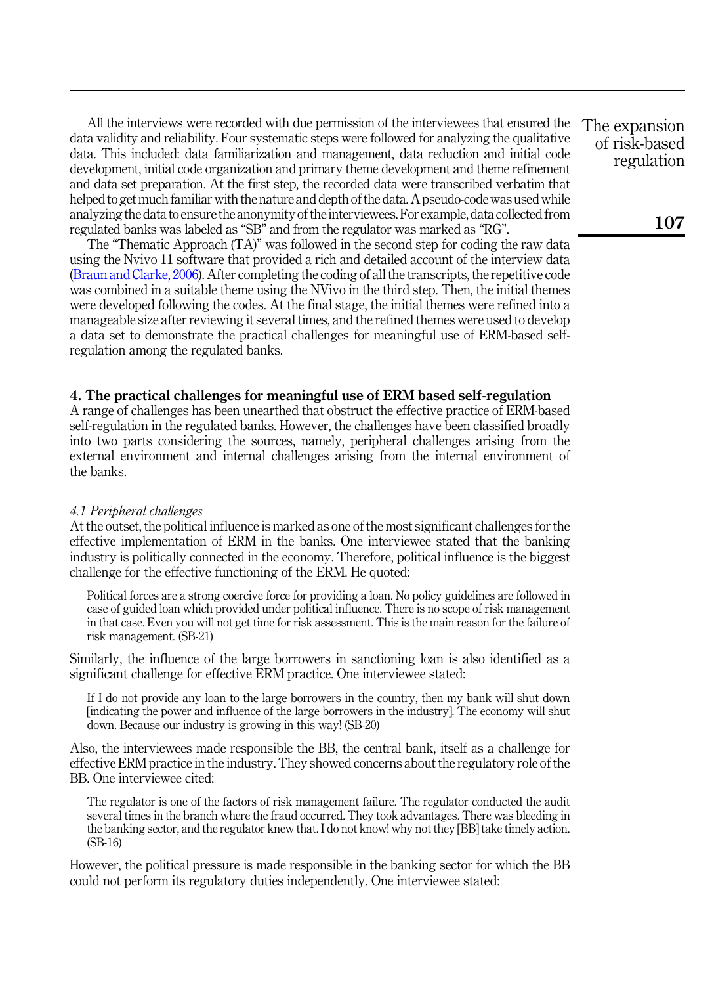All the interviews were recorded with due permission of the interviewees that ensured the data validity and reliability. Four systematic steps were followed for analyzing the qualitative data. This included: data familiarization and management, data reduction and initial code development, initial code organization and primary theme development and theme refinement and data set preparation. At the first step, the recorded data were transcribed verbatim that helped to get much familiar with the nature and depth of the data. A pseudo-code was used while analyzing the data to ensure the anonymity of theinterviewees. For example, data collected from regulated banks was labeled as "SB" and from the regulator was marked as "RG".

The "Thematic Approach (TA)" was followed in the second step for coding the raw data using the Nvivo 11 software that provided a rich and detailed account of the interview data ([Braun and Clarke, 2006](#page-15-17)). After completing the coding of all the transcripts, the repetitive code was combined in a suitable theme using the NVivo in the third step. Then, the initial themes were developed following the codes. At the final stage, the initial themes were refined into a manageable size after reviewing it several times, and the refined themes were used to develop a data set to demonstrate the practical challenges for meaningful use of ERM-based selfregulation among the regulated banks.

## <span id="page-4-0"></span>4. The practical challenges for meaningful use of ERM based self-regulation

A range of challenges has been unearthed that obstruct the effective practice of ERM-based self-regulation in the regulated banks. However, the challenges have been classified broadly into two parts considering the sources, namely, peripheral challenges arising from the external environment and internal challenges arising from the internal environment of the banks.

#### 4.1 Peripheral challenges

At the outset, the political influence is marked as one of the most significant challenges for the effective implementation of ERM in the banks. One interviewee stated that the banking industry is politically connected in the economy. Therefore, political influence is the biggest challenge for the effective functioning of the ERM. He quoted:

Political forces are a strong coercive force for providing a loan. No policy guidelines are followed in case of guided loan which provided under political influence. There is no scope of risk management in that case. Even you will not get time for risk assessment. This is the main reason for the failure of risk management. (SB-21)

Similarly, the influence of the large borrowers in sanctioning loan is also identified as a significant challenge for effective ERM practice. One interviewee stated:

If I do not provide any loan to the large borrowers in the country, then my bank will shut down [indicating the power and influence of the large borrowers in the industry]. The economy will shut down. Because our industry is growing in this way! (SB-20)

Also, the interviewees made responsible the BB, the central bank, itself as a challenge for effective ERM practice in the industry. They showed concerns about the regulatory role of the BB. One interviewee cited:

The regulator is one of the factors of risk management failure. The regulator conducted the audit several times in the branch where the fraud occurred. They took advantages. There was bleeding in the banking sector, and the regulator knew that. I do not know! why not they [BB] take timely action. (SB-16)

However, the political pressure is made responsible in the banking sector for which the BB could not perform its regulatory duties independently. One interviewee stated: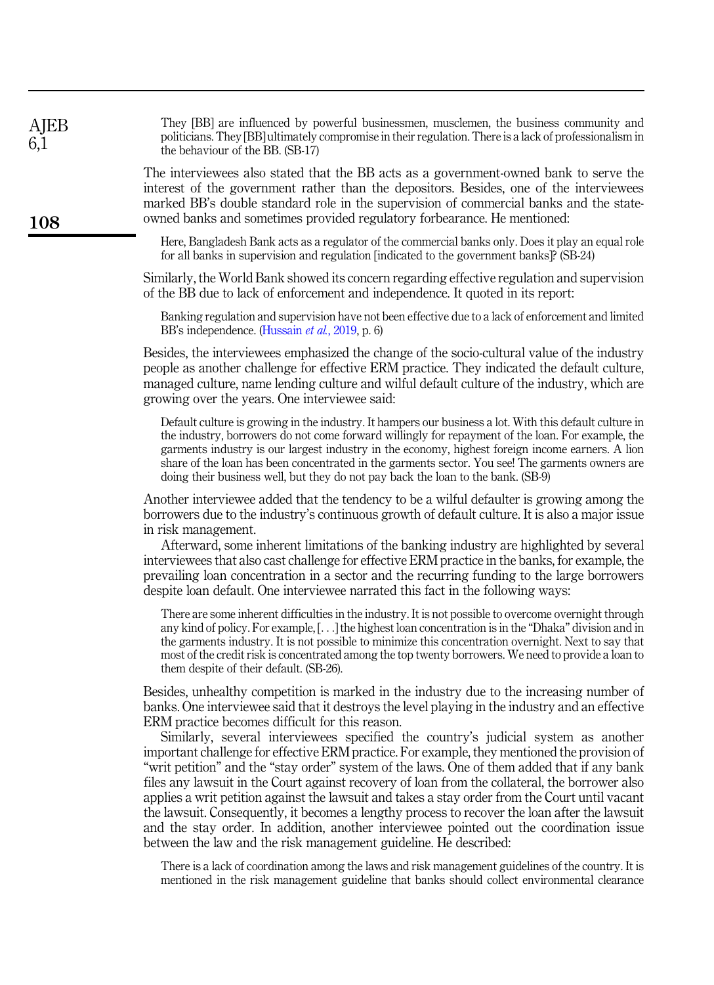| <b>AJEB</b><br>6,1 | They [BB] are influenced by powerful businessmen, musclemen, the business community and<br>politicians. They [BB] ultimately compromise in their regulation. There is a lack of professionalism in<br>the behaviour of the BB. (SB-17)                                                                                                                                                                                                                                                                                                                                                                                                                                                                                                                                                                                                                                                                                                                                                                  |
|--------------------|---------------------------------------------------------------------------------------------------------------------------------------------------------------------------------------------------------------------------------------------------------------------------------------------------------------------------------------------------------------------------------------------------------------------------------------------------------------------------------------------------------------------------------------------------------------------------------------------------------------------------------------------------------------------------------------------------------------------------------------------------------------------------------------------------------------------------------------------------------------------------------------------------------------------------------------------------------------------------------------------------------|
| 108                | The interviewees also stated that the BB acts as a government-owned bank to serve the<br>interest of the government rather than the depositors. Besides, one of the interviewees<br>marked BB's double standard role in the supervision of commercial banks and the state-<br>owned banks and sometimes provided regulatory forbearance. He mentioned:                                                                                                                                                                                                                                                                                                                                                                                                                                                                                                                                                                                                                                                  |
|                    | Here, Bangladesh Bank acts as a regulator of the commercial banks only. Does it play an equal role<br>for all banks in supervision and regulation [indicated to the government banks]? (SB-24)                                                                                                                                                                                                                                                                                                                                                                                                                                                                                                                                                                                                                                                                                                                                                                                                          |
|                    | Similarly, the World Bank showed its concern regarding effective regulation and supervision<br>of the BB due to lack of enforcement and independence. It quoted in its report:                                                                                                                                                                                                                                                                                                                                                                                                                                                                                                                                                                                                                                                                                                                                                                                                                          |
|                    | Banking regulation and supervision have not been effective due to a lack of enforcement and limited<br>BB's independence. (Hussain et al., 2019, p. 6)                                                                                                                                                                                                                                                                                                                                                                                                                                                                                                                                                                                                                                                                                                                                                                                                                                                  |
|                    | Besides, the interviewees emphasized the change of the socio-cultural value of the industry<br>people as another challenge for effective ERM practice. They indicated the default culture,<br>managed culture, name lending culture and wilful default culture of the industry, which are<br>growing over the years. One interviewee said:                                                                                                                                                                                                                                                                                                                                                                                                                                                                                                                                                                                                                                                              |
|                    | Default culture is growing in the industry. It hampers our business a lot. With this default culture in<br>the industry, borrowers do not come forward willingly for repayment of the loan. For example, the<br>garments industry is our largest industry in the economy, highest foreign income earners. A lion<br>share of the loan has been concentrated in the garments sector. You see! The garments owners are<br>doing their business well, but they do not pay back the loan to the bank. (SB-9)                                                                                                                                                                                                                                                                                                                                                                                                                                                                                                |
|                    | Another interviewee added that the tendency to be a wilful defaulter is growing among the<br>borrowers due to the industry's continuous growth of default culture. It is also a major issue<br>in risk management.<br>Afterward, some inherent limitations of the banking industry are highlighted by several<br>interviewees that also cast challenge for effective ERM practice in the banks, for example, the<br>prevailing loan concentration in a sector and the recurring funding to the large borrowers<br>despite loan default. One interviewee narrated this fact in the following ways:                                                                                                                                                                                                                                                                                                                                                                                                       |
|                    | There are some inherent difficulties in the industry. It is not possible to overcome overnight through<br>any kind of policy. For example, $[]$ the highest loan concentration is in the "Dhaka" division and in<br>the garments industry. It is not possible to minimize this concentration overnight. Next to say that<br>most of the credit risk is concentrated among the top twenty borrowers. We need to provide a loan to<br>them despite of their default. (SB-26).                                                                                                                                                                                                                                                                                                                                                                                                                                                                                                                             |
|                    | Besides, unhealthy competition is marked in the industry due to the increasing number of<br>banks. One interviewee said that it destroys the level playing in the industry and an effective<br>ERM practice becomes difficult for this reason.<br>Similarly, several interviewees specified the country's judicial system as another<br>important challenge for effective ERM practice. For example, they mentioned the provision of<br>"writ petition" and the "stay order" system of the laws. One of them added that if any bank<br>files any lawsuit in the Court against recovery of loan from the collateral, the borrower also<br>applies a writ petition against the lawsuit and takes a stay order from the Court until vacant<br>the lawsuit. Consequently, it becomes a lengthy process to recover the loan after the lawsuit<br>and the stay order. In addition, another interviewee pointed out the coordination issue<br>between the law and the risk management guideline. He described: |
|                    | There is a lack of coordination among the laws and risk management guidelines of the country. It is<br>mentioned in the risk management guideline that banks should collect environmental clearance                                                                                                                                                                                                                                                                                                                                                                                                                                                                                                                                                                                                                                                                                                                                                                                                     |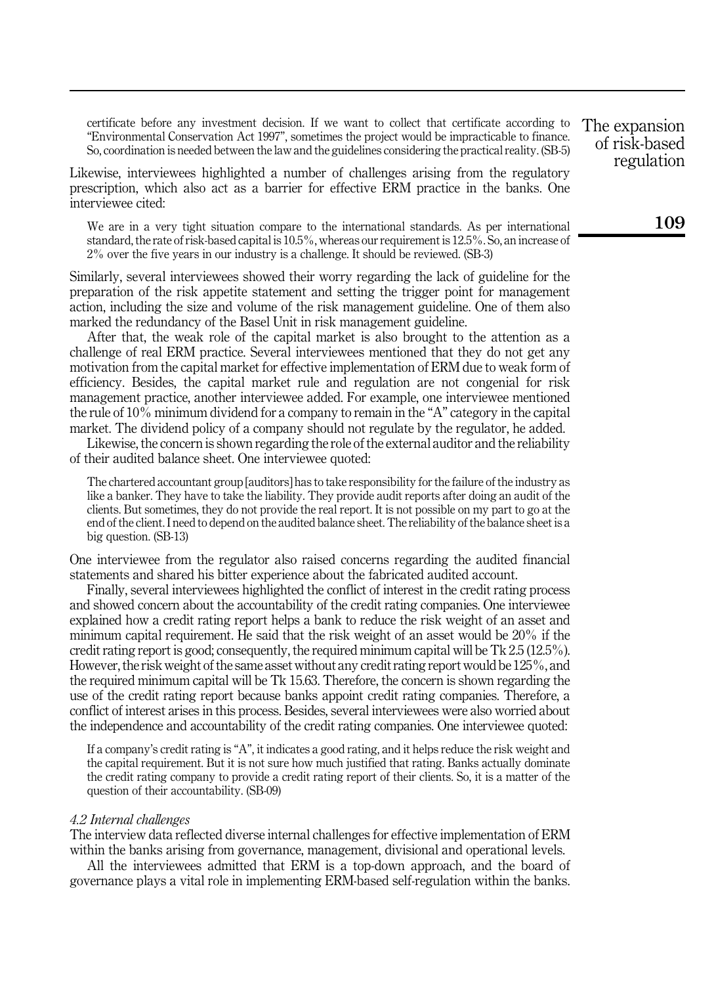certificate before any investment decision. If we want to collect that certificate according to "Environmental Conservation Act 1997", sometimes the project would be impracticable to finance. So, coordination is needed between the law and the guidelines considering the practical reality. (SB-5)

Likewise, interviewees highlighted a number of challenges arising from the regulatory prescription, which also act as a barrier for effective ERM practice in the banks. One interviewee cited:

We are in a very tight situation compare to the international standards. As per international standard, the rate of risk-based capital is 10.5%, whereas our requirement is 12.5%. So, an increase of 2% over the five years in our industry is a challenge. It should be reviewed. (SB-3)

Similarly, several interviewees showed their worry regarding the lack of guideline for the preparation of the risk appetite statement and setting the trigger point for management action, including the size and volume of the risk management guideline. One of them also marked the redundancy of the Basel Unit in risk management guideline.

After that, the weak role of the capital market is also brought to the attention as a challenge of real ERM practice. Several interviewees mentioned that they do not get any motivation from the capital market for effective implementation of ERM due to weak form of efficiency. Besides, the capital market rule and regulation are not congenial for risk management practice, another interviewee added. For example, one interviewee mentioned the rule of 10% minimum dividend for a company to remain in the "A" category in the capital market. The dividend policy of a company should not regulate by the regulator, he added.

Likewise, the concern is shown regarding the role of the external auditor and the reliability of their audited balance sheet. One interviewee quoted:

The chartered accountant group [auditors] has to take responsibility for the failure of the industry as like a banker. They have to take the liability. They provide audit reports after doing an audit of the clients. But sometimes, they do not provide the real report. It is not possible on my part to go at the end of the client. I need to depend on the audited balance sheet. The reliability of the balance sheet is a big question. (SB-13)

One interviewee from the regulator also raised concerns regarding the audited financial statements and shared his bitter experience about the fabricated audited account.

Finally, several interviewees highlighted the conflict of interest in the credit rating process and showed concern about the accountability of the credit rating companies. One interviewee explained how a credit rating report helps a bank to reduce the risk weight of an asset and minimum capital requirement. He said that the risk weight of an asset would be 20% if the credit rating report is good; consequently, the required minimum capital will be Tk 2.5 (12.5%). However, the risk weight of the same asset without any credit rating report would be 125%, and the required minimum capital will be Tk 15.63. Therefore, the concern is shown regarding the use of the credit rating report because banks appoint credit rating companies. Therefore, a conflict of interest arises in this process. Besides, several interviewees were also worried about the independence and accountability of the credit rating companies. One interviewee quoted:

If a company's credit rating is "A", it indicates a good rating, and it helps reduce the risk weight and the capital requirement. But it is not sure how much justified that rating. Banks actually dominate the credit rating company to provide a credit rating report of their clients. So, it is a matter of the question of their accountability. (SB-09)

#### 4.2 Internal challenges

The interview data reflected diverse internal challenges for effective implementation of ERM within the banks arising from governance, management, divisional and operational levels.

All the interviewees admitted that ERM is a top-down approach, and the board of governance plays a vital role in implementing ERM-based self-regulation within the banks.

The expansion of risk-based regulation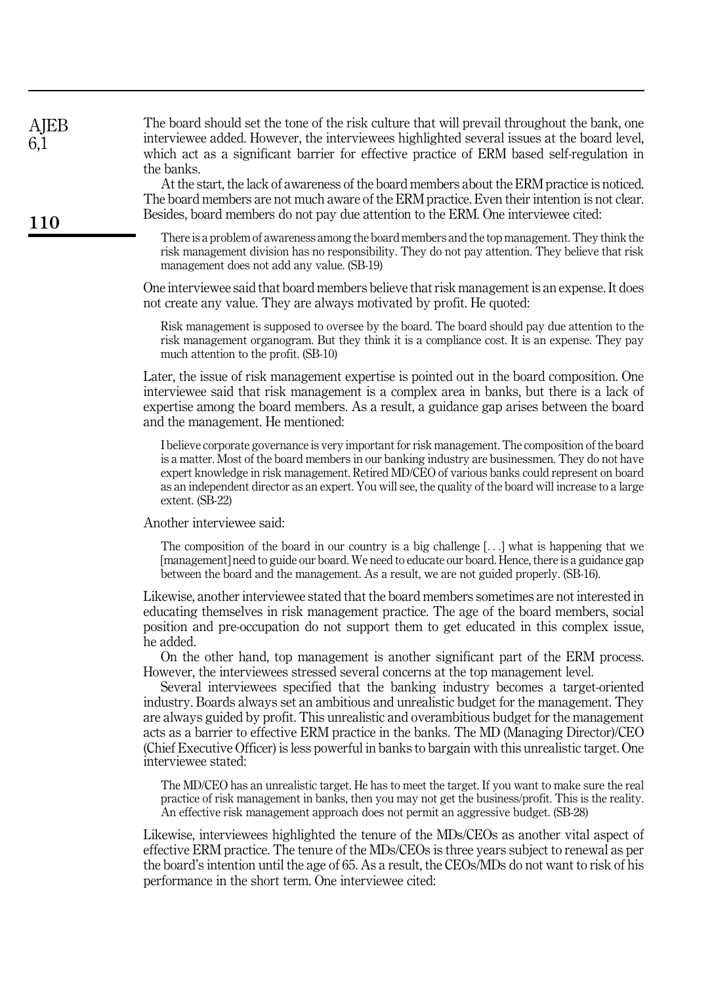| AJEB<br>6,1 | The board should set the tone of the risk culture that will prevail throughout the bank, one<br>interviewee added. However, the interviewees highlighted several issues at the board level,<br>which act as a significant barrier for effective practice of ERM based self-regulation in<br>the banks.<br>At the start, the lack of awareness of the board members about the ERM practice is noticed.<br>The board members are not much aware of the ERM practice. Even their intention is not clear.<br>Besides, board members do not pay due attention to the ERM. One interviewee cited:                                                                                 |
|-------------|-----------------------------------------------------------------------------------------------------------------------------------------------------------------------------------------------------------------------------------------------------------------------------------------------------------------------------------------------------------------------------------------------------------------------------------------------------------------------------------------------------------------------------------------------------------------------------------------------------------------------------------------------------------------------------|
| <b>110</b>  | There is a problem of awareness among the board members and the top management. They think the<br>risk management division has no responsibility. They do not pay attention. They believe that risk<br>management does not add any value. (SB-19)                                                                                                                                                                                                                                                                                                                                                                                                                           |
|             | One interviewee said that board members believe that risk management is an expense. It does<br>not create any value. They are always motivated by profit. He quoted:                                                                                                                                                                                                                                                                                                                                                                                                                                                                                                        |
|             | Risk management is supposed to oversee by the board. The board should pay due attention to the<br>risk management organogram. But they think it is a compliance cost. It is an expense. They pay<br>much attention to the profit. (SB-10)                                                                                                                                                                                                                                                                                                                                                                                                                                   |
|             | Later, the issue of risk management expertise is pointed out in the board composition. One<br>interviewee said that risk management is a complex area in banks, but there is a lack of<br>expertise among the board members. As a result, a guidance gap arises between the board<br>and the management. He mentioned:                                                                                                                                                                                                                                                                                                                                                      |
|             | I believe corporate governance is very important for risk management. The composition of the board<br>is a matter. Most of the board members in our banking industry are businessmen. They do not have<br>expert knowledge in risk management. Retired MD/CEO of various banks could represent on board<br>as an independent director as an expert. You will see, the quality of the board will increase to a large<br>extent. (SB-22)                                                                                                                                                                                                                                      |
|             | Another interviewee said:                                                                                                                                                                                                                                                                                                                                                                                                                                                                                                                                                                                                                                                   |
|             | The composition of the board in our country is a big challenge $[\ldots]$ what is happening that we<br>[management] need to guide our board. We need to educate our board. Hence, there is a guidance gap<br>between the board and the management. As a result, we are not guided properly. (SB-16).                                                                                                                                                                                                                                                                                                                                                                        |
|             | Likewise, another interviewee stated that the board members sometimes are not interested in<br>educating themselves in risk management practice. The age of the board members, social<br>position and pre-occupation do not support them to get educated in this complex issue,<br>he added.                                                                                                                                                                                                                                                                                                                                                                                |
|             | On the other hand, top management is another significant part of the ERM process.<br>However, the interviewees stressed several concerns at the top management level.<br>Several interviewees specified that the banking industry becomes a target-oriented<br>industry. Boards always set an ambitious and unrealistic budget for the management. They<br>are always guided by profit. This unrealistic and overambitious budget for the management<br>acts as a barrier to effective ERM practice in the banks. The MD (Managing Director)/CEO<br>(Chief Executive Officer) is less powerful in banks to bargain with this unrealistic target. One<br>interviewee stated: |
|             | The MD/CEO has an unrealistic target. He has to meet the target. If you want to make sure the real<br>practice of risk management in banks, then you may not get the business/profit. This is the reality.<br>An effective risk management approach does not permit an aggressive budget. (SB-28)                                                                                                                                                                                                                                                                                                                                                                           |
|             | Likewise, interviewees highlighted the tenure of the MDs/CEOs as another vital aspect of<br>effective ERM practice. The tenure of the MDs/CEOs is three years subject to renewal as per<br>the board's intention until the age of 65. As a result, the CEOs/MDs do not want to risk of his<br>performance in the short term. One interviewee cited:                                                                                                                                                                                                                                                                                                                         |
|             |                                                                                                                                                                                                                                                                                                                                                                                                                                                                                                                                                                                                                                                                             |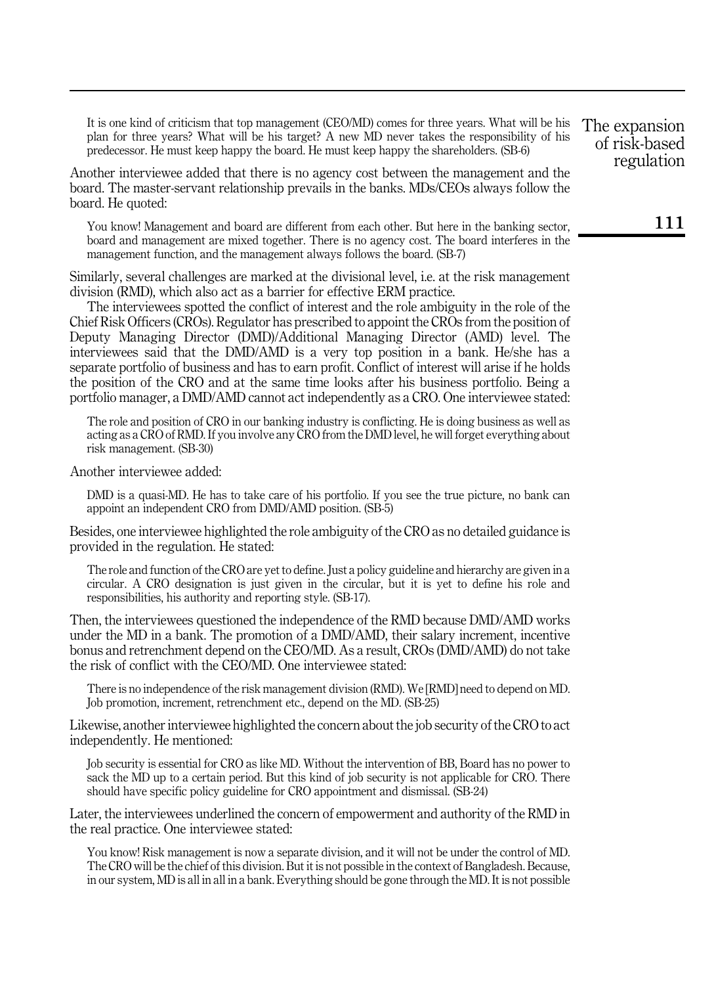It is one kind of criticism that top management (CEO/MD) comes for three years. What will be his plan for three years? What will be his target? A new MD never takes the responsibility of his predecessor. He must keep happy the board. He must keep happy the shareholders. (SB-6)

Another interviewee added that there is no agency cost between the management and the board. The master-servant relationship prevails in the banks. MDs/CEOs always follow the board. He quoted:

You know! Management and board are different from each other. But here in the banking sector, board and management are mixed together. There is no agency cost. The board interferes in the management function, and the management always follows the board. (SB-7)

Similarly, several challenges are marked at the divisional level, i.e. at the risk management division (RMD), which also act as a barrier for effective ERM practice.

The interviewees spotted the conflict of interest and the role ambiguity in the role of the Chief Risk Officers (CROs). Regulator has prescribed to appoint the CROs from the position of Deputy Managing Director (DMD)/Additional Managing Director (AMD) level. The interviewees said that the DMD/AMD is a very top position in a bank. He/she has a separate portfolio of business and has to earn profit. Conflict of interest will arise if he holds the position of the CRO and at the same time looks after his business portfolio. Being a portfolio manager, a DMD/AMD cannot act independently as a CRO. One interviewee stated:

The role and position of CRO in our banking industry is conflicting. He is doing business as well as acting as a CRO of RMD. If you involve any CRO from the DMD level, he will forget everything about risk management. (SB-30)

Another interviewee added:

DMD is a quasi-MD. He has to take care of his portfolio. If you see the true picture, no bank can appoint an independent CRO from DMD/AMD position. (SB-5)

Besides, one interviewee highlighted the role ambiguity of the CRO as no detailed guidance is provided in the regulation. He stated:

The role and function of the CRO are yet to define. Just a policy guideline and hierarchy are given in a circular. A CRO designation is just given in the circular, but it is yet to define his role and responsibilities, his authority and reporting style. (SB-17).

Then, the interviewees questioned the independence of the RMD because DMD/AMD works under the MD in a bank. The promotion of a DMD/AMD, their salary increment, incentive bonus and retrenchment depend on the CEO/MD. As a result, CROs (DMD/AMD) do not take the risk of conflict with the CEO/MD. One interviewee stated:

There is no independence of the risk management division (RMD). We [RMD] need to depend on MD. Job promotion, increment, retrenchment etc., depend on the MD. (SB-25)

Likewise, another interviewee highlighted the concern about the job security of the CRO to act independently. He mentioned:

Job security is essential for CRO as like MD. Without the intervention of BB, Board has no power to sack the MD up to a certain period. But this kind of job security is not applicable for CRO. There should have specific policy guideline for CRO appointment and dismissal. (SB-24)

Later, the interviewees underlined the concern of empowerment and authority of the RMD in the real practice. One interviewee stated:

You know! Risk management is now a separate division, and it will not be under the control of MD. The CRO will be the chief of this division. But it is not possible in the context of Bangladesh. Because, in our system, MD is all in all in a bank. Everything should be gone through the MD. It is not possible

The expansion of risk-based regulation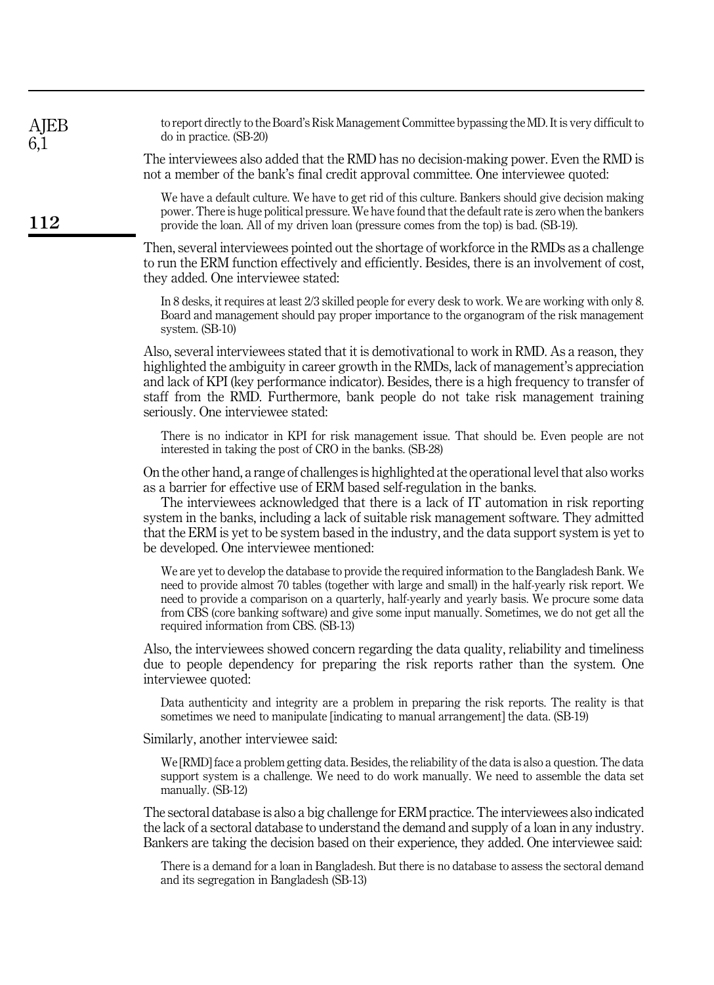| AJEB<br>6,1 | to report directly to the Board's Risk Management Committee bypassing the MD. It is very difficult to<br>do in practice. (SB-20)                                                                                                                                                                                                                                                                                                                                                                                 |
|-------------|------------------------------------------------------------------------------------------------------------------------------------------------------------------------------------------------------------------------------------------------------------------------------------------------------------------------------------------------------------------------------------------------------------------------------------------------------------------------------------------------------------------|
|             | The interviewees also added that the RMD has no decision-making power. Even the RMD is<br>not a member of the bank's final credit approval committee. One interviewee quoted:                                                                                                                                                                                                                                                                                                                                    |
| 112         | We have a default culture. We have to get rid of this culture. Bankers should give decision making<br>power. There is huge political pressure. We have found that the default rate is zero when the bankers<br>provide the loan. All of my driven loan (pressure comes from the top) is bad. (SB-19).                                                                                                                                                                                                            |
|             | Then, several interviewees pointed out the shortage of workforce in the RMDs as a challenge<br>to run the ERM function effectively and efficiently. Besides, there is an involvement of cost,<br>they added. One interviewee stated:                                                                                                                                                                                                                                                                             |
|             | In 8 desks, it requires at least 2/3 skilled people for every desk to work. We are working with only 8.<br>Board and management should pay proper importance to the organogram of the risk management<br>system. (SB-10)                                                                                                                                                                                                                                                                                         |
|             | Also, several interviewees stated that it is demotivational to work in RMD. As a reason, they<br>highlighted the ambiguity in career growth in the RMDs, lack of management's appreciation<br>and lack of KPI (key performance indicator). Besides, there is a high frequency to transfer of<br>staff from the RMD. Furthermore, bank people do not take risk management training<br>seriously. One interviewee stated:                                                                                          |
|             | There is no indicator in KPI for risk management issue. That should be. Even people are not<br>interested in taking the post of CRO in the banks. (SB-28)                                                                                                                                                                                                                                                                                                                                                        |
|             | On the other hand, a range of challenges is highlighted at the operational level that also works<br>as a barrier for effective use of ERM based self-regulation in the banks.<br>The interviewees acknowledged that there is a lack of IT automation in risk reporting<br>system in the banks, including a lack of suitable risk management software. They admitted<br>that the ERM is yet to be system based in the industry, and the data support system is yet to<br>be developed. One interviewee mentioned: |
|             | We are yet to develop the database to provide the required information to the Bangladesh Bank. We<br>need to provide almost 70 tables (together with large and small) in the half-yearly risk report. We<br>need to provide a comparison on a quarterly, half-yearly and yearly basis. We procure some data<br>from CBS (core banking software) and give some input manually. Sometimes, we do not get all the<br>required information from CBS. (SB-13)                                                         |
|             | Also, the interviewees showed concern regarding the data quality, reliability and timeliness<br>due to people dependency for preparing the risk reports rather than the system. One<br>interviewee quoted:                                                                                                                                                                                                                                                                                                       |
|             | Data authenticity and integrity are a problem in preparing the risk reports. The reality is that<br>sometimes we need to manipulate [indicating to manual arrangement] the data. (SB-19)                                                                                                                                                                                                                                                                                                                         |
|             | Similarly, another interviewee said:                                                                                                                                                                                                                                                                                                                                                                                                                                                                             |
|             | We [RMD] face a problem getting data. Besides, the reliability of the data is also a question. The data<br>support system is a challenge. We need to do work manually. We need to assemble the data set<br>manually. (SB-12)                                                                                                                                                                                                                                                                                     |
|             | The sectoral database is also a big challenge for ERM practice. The interviewees also indicated<br>the lack of a sectoral database to understand the demand and supply of a loan in any industry.<br>Bankers are taking the decision based on their experience, they added. One interviewee said:                                                                                                                                                                                                                |
|             | There is a demand for a loan in Bangladesh. But there is no database to assess the sectoral demand<br>and its segregation in Bangladesh (SB-13)                                                                                                                                                                                                                                                                                                                                                                  |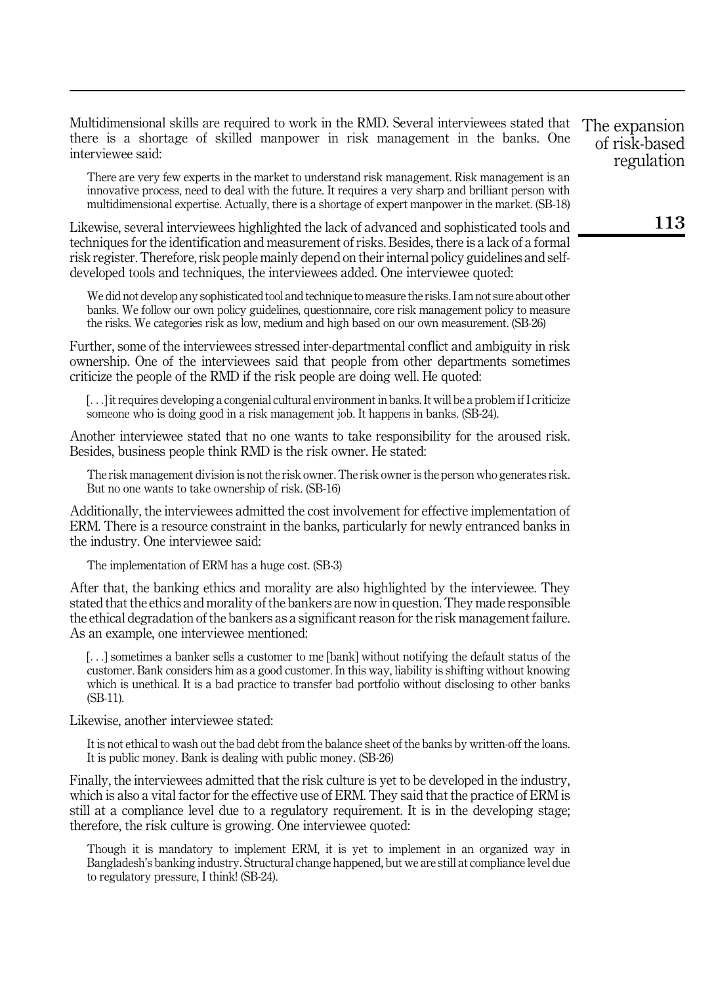Multidimensional skills are required to work in the RMD. Several interviewees stated that there is a shortage of skilled manpower in risk management in the banks. One interviewee said:

There are very few experts in the market to understand risk management. Risk management is an innovative process, need to deal with the future. It requires a very sharp and brilliant person with multidimensional expertise. Actually, there is a shortage of expert manpower in the market. (SB-18)

Likewise, several interviewees highlighted the lack of advanced and sophisticated tools and techniques for the identification and measurement of risks. Besides, there is a lack of a formal risk register. Therefore, risk people mainly depend on their internal policy guidelines and selfdeveloped tools and techniques, the interviewees added. One interviewee quoted:

We did not develop any sophisticated tool and technique to measure the risks. I am not sure about other banks. We follow our own policy guidelines, questionnaire, core risk management policy to measure the risks. We categories risk as low, medium and high based on our own measurement. (SB-26)

Further, some of the interviewees stressed inter-departmental conflict and ambiguity in risk ownership. One of the interviewees said that people from other departments sometimes criticize the people of the RMD if the risk people are doing well. He quoted:

[...] it requires developing a congenial cultural environment in banks. It will be a problem if I criticize someone who is doing good in a risk management job. It happens in banks. (SB-24).

Another interviewee stated that no one wants to take responsibility for the aroused risk. Besides, business people think RMD is the risk owner. He stated:

The risk management division is not the risk owner. The risk owner is the person who generates risk. But no one wants to take ownership of risk. (SB-16)

Additionally, the interviewees admitted the cost involvement for effective implementation of ERM. There is a resource constraint in the banks, particularly for newly entranced banks in the industry. One interviewee said:

The implementation of ERM has a huge cost. (SB-3)

After that, the banking ethics and morality are also highlighted by the interviewee. They stated that the ethics and morality of the bankers are now in question. They made responsible the ethical degradation of the bankers as a significant reason for the risk management failure. As an example, one interviewee mentioned:

[...] sometimes a banker sells a customer to me [bank] without notifying the default status of the customer. Bank considers him as a good customer. In this way, liability is shifting without knowing which is unethical. It is a bad practice to transfer bad portfolio without disclosing to other banks (SB-11).

Likewise, another interviewee stated:

It is not ethical to wash out the bad debt from the balance sheet of the banks by written-off the loans. It is public money. Bank is dealing with public money. (SB-26)

Finally, the interviewees admitted that the risk culture is yet to be developed in the industry, which is also a vital factor for the effective use of ERM. They said that the practice of ERM is still at a compliance level due to a regulatory requirement. It is in the developing stage; therefore, the risk culture is growing. One interviewee quoted:

Though it is mandatory to implement ERM, it is yet to implement in an organized way in Bangladesh's banking industry. Structural change happened, but we are still at compliance level due to regulatory pressure, I think! (SB-24).

The expansion of risk-based regulation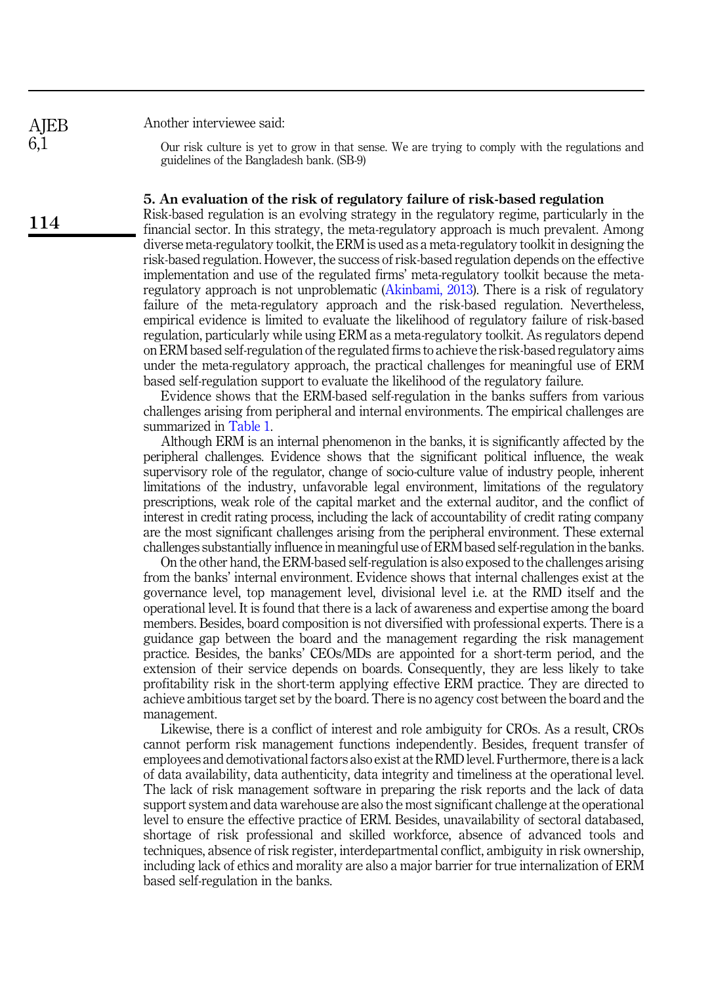**AIEB** 6,1

114

Another interviewee said:

Our risk culture is yet to grow in that sense. We are trying to comply with the regulations and guidelines of the Bangladesh bank. (SB-9)

#### <span id="page-11-0"></span>5. An evaluation of the risk of regulatory failure of risk-based regulation

Risk-based regulation is an evolving strategy in the regulatory regime, particularly in the financial sector. In this strategy, the meta-regulatory approach is much prevalent. Among diverse meta-regulatory toolkit, the ERM is used as a meta-regulatory toolkit in designing the risk-based regulation. However, the success of risk-based regulation depends on the effective implementation and use of the regulated firms' meta-regulatory toolkit because the metaregulatory approach is not unproblematic [\(Akinbami, 2013\)](#page-14-7). There is a risk of regulatory failure of the meta-regulatory approach and the risk-based regulation. Nevertheless, empirical evidence is limited to evaluate the likelihood of regulatory failure of risk-based regulation, particularly while using ERM as a meta-regulatory toolkit. As regulators depend on ERM based self-regulation of the regulated firms to achieve the risk-based regulatory aims under the meta-regulatory approach, the practical challenges for meaningful use of ERM based self-regulation support to evaluate the likelihood of the regulatory failure.

Evidence shows that the ERM-based self-regulation in the banks suffers from various challenges arising from peripheral and internal environments. The empirical challenges are summarized in [Table 1.](#page-12-0)

Although ERM is an internal phenomenon in the banks, it is significantly affected by the peripheral challenges. Evidence shows that the significant political influence, the weak supervisory role of the regulator, change of socio-culture value of industry people, inherent limitations of the industry, unfavorable legal environment, limitations of the regulatory prescriptions, weak role of the capital market and the external auditor, and the conflict of interest in credit rating process, including the lack of accountability of credit rating company are the most significant challenges arising from the peripheral environment. These external challenges substantially influence in meaningful use of ERM based self-regulation in the banks.

On the other hand, the ERM-based self-regulation is also exposed to the challenges arising from the banks' internal environment. Evidence shows that internal challenges exist at the governance level, top management level, divisional level i.e. at the RMD itself and the operational level. It is found that there is a lack of awareness and expertise among the board members. Besides, board composition is not diversified with professional experts. There is a guidance gap between the board and the management regarding the risk management practice. Besides, the banks' CEOs/MDs are appointed for a short-term period, and the extension of their service depends on boards. Consequently, they are less likely to take profitability risk in the short-term applying effective ERM practice. They are directed to achieve ambitious target set by the board. There is no agency cost between the board and the management.

Likewise, there is a conflict of interest and role ambiguity for CROs. As a result, CROs cannot perform risk management functions independently. Besides, frequent transfer of employees and demotivational factors also exist at the RMD level. Furthermore, there is a lack of data availability, data authenticity, data integrity and timeliness at the operational level. The lack of risk management software in preparing the risk reports and the lack of data support system and data warehouse are also the most significant challenge at the operational level to ensure the effective practice of ERM. Besides, unavailability of sectoral databased, shortage of risk professional and skilled workforce, absence of advanced tools and techniques, absence of risk register, interdepartmental conflict, ambiguity in risk ownership, including lack of ethics and morality are also a major barrier for true internalization of ERM based self-regulation in the banks.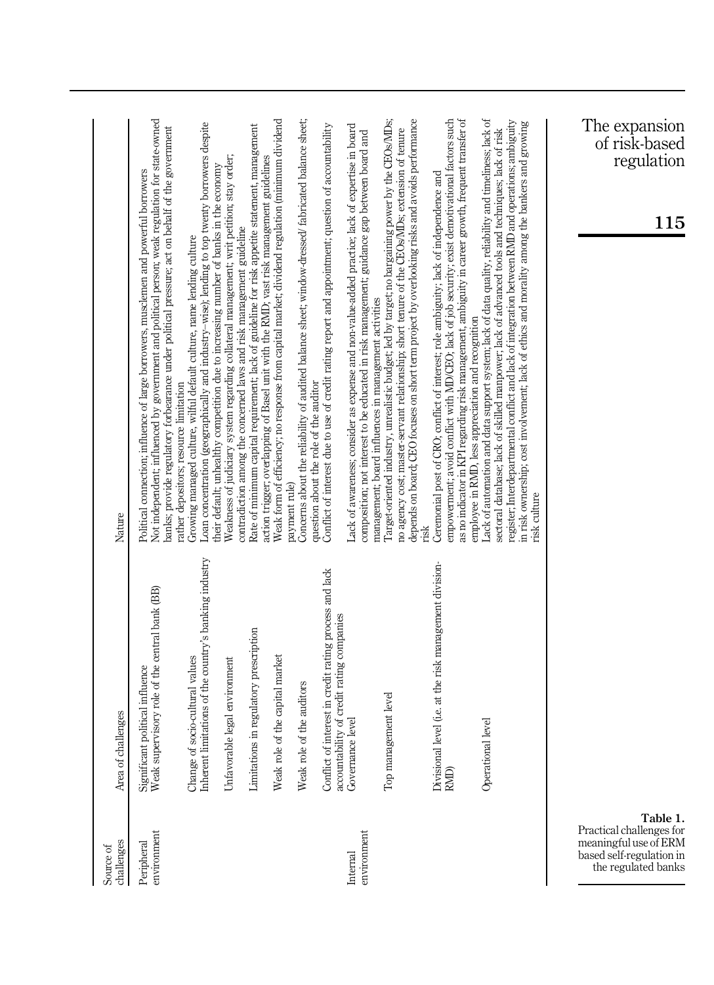<span id="page-12-0"></span>

| challenges<br>Source of                                                                                          | Area of challenges                                                                        | Nature                                                                                                                                                                                                                                                                                                                                                                                                                            |
|------------------------------------------------------------------------------------------------------------------|-------------------------------------------------------------------------------------------|-----------------------------------------------------------------------------------------------------------------------------------------------------------------------------------------------------------------------------------------------------------------------------------------------------------------------------------------------------------------------------------------------------------------------------------|
| environment<br>Peripheral                                                                                        | Significant political influence<br>Weak supervisory role of the central bank (BB)         | Not independent; influenced by government and political person; weak regulation for state-owned<br>banks; provide regulatory forbearance under political pressure; act on behalf of the government<br>Political connection; influence of large borrowers, musclemen and powerful borrowers                                                                                                                                        |
|                                                                                                                  | Inherent limitations of the country's banking industry<br>Change of socio-cultural values | Loan concentration (geographically and industry-wise); lending to top twenty borrowers despite<br>Growing managed culture, wilful default culture, name lending culture<br>rather depositors; resource limitation                                                                                                                                                                                                                 |
|                                                                                                                  | Unfavorable legal environment                                                             | Weakness of judiciary system regarding collateral management; writ petition; stay order;<br>their default; unhealthy competition due to increasing number of banks in the economy                                                                                                                                                                                                                                                 |
|                                                                                                                  | Limitations in regulatory prescription                                                    | Rate of minimum capital requirement; lack of guideline for risk appetite statement, management<br>action trigger; overlapping of Basel unit with the RMD; vast risk management guidelines<br>contradiction among the concerned laws and risk management guideline                                                                                                                                                                 |
|                                                                                                                  | Weak role of the capital market                                                           | Weak form of efficiency; no response from capital market; dividend regulation (minimum dividend<br>payment rule)                                                                                                                                                                                                                                                                                                                  |
|                                                                                                                  | Conflict of interest in credit rating process and lack<br>Weak role of the auditors       | Concerns about the reliability of audited balance sheet; window-dressed/ fabricated balance sheet;<br>Conflict of interest due to use of credit rating report and appointment; question of accountability<br>question about the role of the auditor                                                                                                                                                                               |
| environment<br>Internal                                                                                          | accountability of credit rating companies<br>Governance level                             | Lack of awareness; consider as expense and non-value-added practice; lack of expertise in board<br>composition; not interest to be educated in risk management; guidance gap between board and<br>management; board influences in management activities                                                                                                                                                                           |
|                                                                                                                  | Top management level                                                                      | Target-oriented industry, unrealistic budget; led by target; no bargaining power by the CEOs/MDs;<br>depends on board; CEO focuses on short term project by overlooking risks and avoids performance<br>no agency cost; master-servant relationship; short tenure of the CEOsMIDs; extension of tenure<br>risk                                                                                                                    |
|                                                                                                                  | Divisional level (i.e. at the risk management division-<br>RMD)                           | empowerment; avoid conflict with MD/CEO; lack of job security; exist demotivational factors such<br>as no indicator in KPI regarding risk management, ambiguity in career growth, frequent transfer of<br>Ceremonial post of CRO; conflict of interest; role ambiguity; lack of independence and<br>employee in RMD, less appreciation and recognition                                                                            |
|                                                                                                                  | Operational level                                                                         | Lack of automation and data support system; lack of data quality, reliability and timeliness; lack of<br>register; Interdepartmental conflict and lack of integration between RMD and operations; ambiguity<br>in risk ownership; cost involvement; lack of ethics and morality among the bankers and growing<br>sectoral database; lack of skilled manpower; lack of advanced tools and techniques; lack of risk<br>risk culture |
| Table 1.<br>Practical challenges for<br>meaningful use of ERM<br>based self-regulation in<br>the regulated banks |                                                                                           | The expansion<br>of risk-based<br>regulation<br>115                                                                                                                                                                                                                                                                                                                                                                               |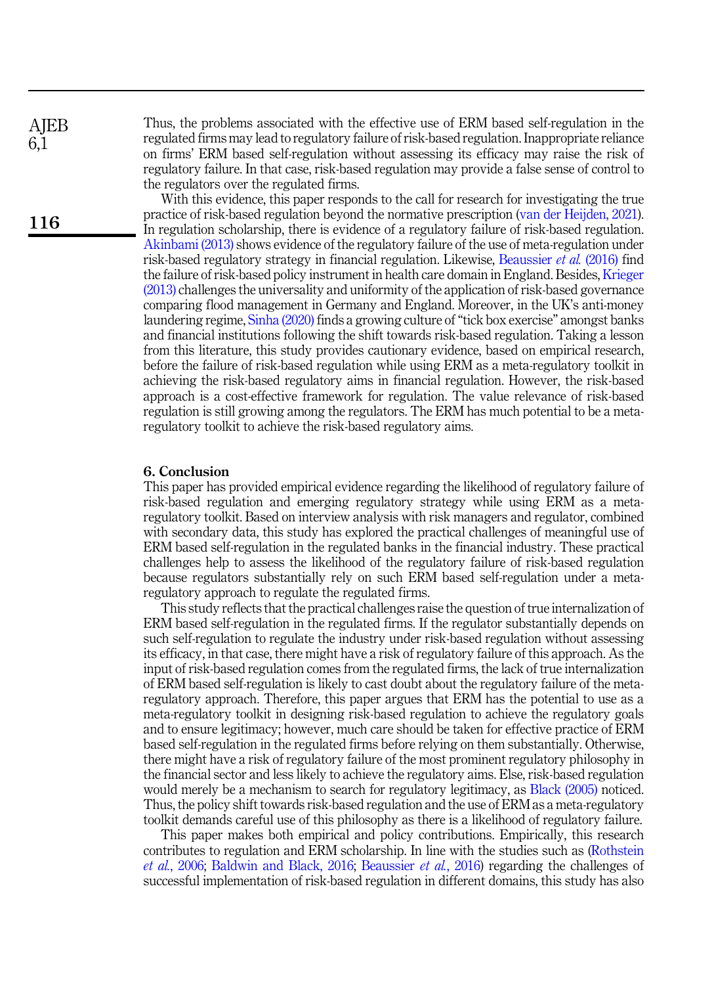**AIEB** 6,1

116

Thus, the problems associated with the effective use of ERM based self-regulation in the regulated firms may lead to regulatory failure of risk-based regulation. Inappropriate reliance on firms' ERM based self-regulation without assessing its efficacy may raise the risk of regulatory failure. In that case, risk-based regulation may provide a false sense of control to the regulators over the regulated firms.

With this evidence, this paper responds to the call for research for investigating the true practice of risk-based regulation beyond the normative prescription [\(van der Heijden, 2021\)](#page-16-4). In regulation scholarship, there is evidence of a regulatory failure of risk-based regulation. [Akinbami \(2013\)](#page-14-7) shows evidence of the regulatory failure of the use of meta-regulation under risk-based regulatory strategy in financial regulation. Likewise, [Beaussier](#page-14-1) et al. (2016) find the failure of risk-based policy instrument in health care domain in England. Besides, [Krieger](#page-15-19) [\(2013\)](#page-15-19) challenges the universality and uniformity of the application of risk-based governance comparing flood management in Germany and England. Moreover, in the UK's anti-money laundering regime, [Sinha \(2020\)](#page-16-3) finds a growing culture of "tick box exercise" amongst banks and financial institutions following the shift towards risk-based regulation. Taking a lesson from this literature, this study provides cautionary evidence, based on empirical research, before the failure of risk-based regulation while using ERM as a meta-regulatory toolkit in achieving the risk-based regulatory aims in financial regulation. However, the risk-based approach is a cost-effective framework for regulation. The value relevance of risk-based regulation is still growing among the regulators. The ERM has much potential to be a metaregulatory toolkit to achieve the risk-based regulatory aims.

#### <span id="page-13-0"></span>6. Conclusion

This paper has provided empirical evidence regarding the likelihood of regulatory failure of risk-based regulation and emerging regulatory strategy while using ERM as a metaregulatory toolkit. Based on interview analysis with risk managers and regulator, combined with secondary data, this study has explored the practical challenges of meaningful use of ERM based self-regulation in the regulated banks in the financial industry. These practical challenges help to assess the likelihood of the regulatory failure of risk-based regulation because regulators substantially rely on such ERM based self-regulation under a metaregulatory approach to regulate the regulated firms.

This study reflects that the practical challenges raise the question of true internalization of ERM based self-regulation in the regulated firms. If the regulator substantially depends on such self-regulation to regulate the industry under risk-based regulation without assessing its efficacy, in that case, there might have a risk of regulatory failure of this approach. As the input of risk-based regulation comes from the regulated firms, the lack of true internalization of ERM based self-regulation is likely to cast doubt about the regulatory failure of the metaregulatory approach. Therefore, this paper argues that ERM has the potential to use as a meta-regulatory toolkit in designing risk-based regulation to achieve the regulatory goals and to ensure legitimacy; however, much care should be taken for effective practice of ERM based self-regulation in the regulated firms before relying on them substantially. Otherwise, there might have a risk of regulatory failure of the most prominent regulatory philosophy in the financial sector and less likely to achieve the regulatory aims. Else, risk-based regulation would merely be a mechanism to search for regulatory legitimacy, as [Black \(2005\)](#page-14-6) noticed. Thus, the policy shift towards risk-based regulation and the use of ERM as a meta-regulatory toolkit demands careful use of this philosophy as there is a likelihood of regulatory failure.

This paper makes both empirical and policy contributions. Empirically, this research contributes to regulation and ERM scholarship. In line with the studies such as ([Rothstein](#page-16-2) et al.[, 2006;](#page-16-2) [Baldwin and Black, 2016](#page-14-12); [Beaussier](#page-14-1) et al., 2016) regarding the challenges of successful implementation of risk-based regulation in different domains, this study has also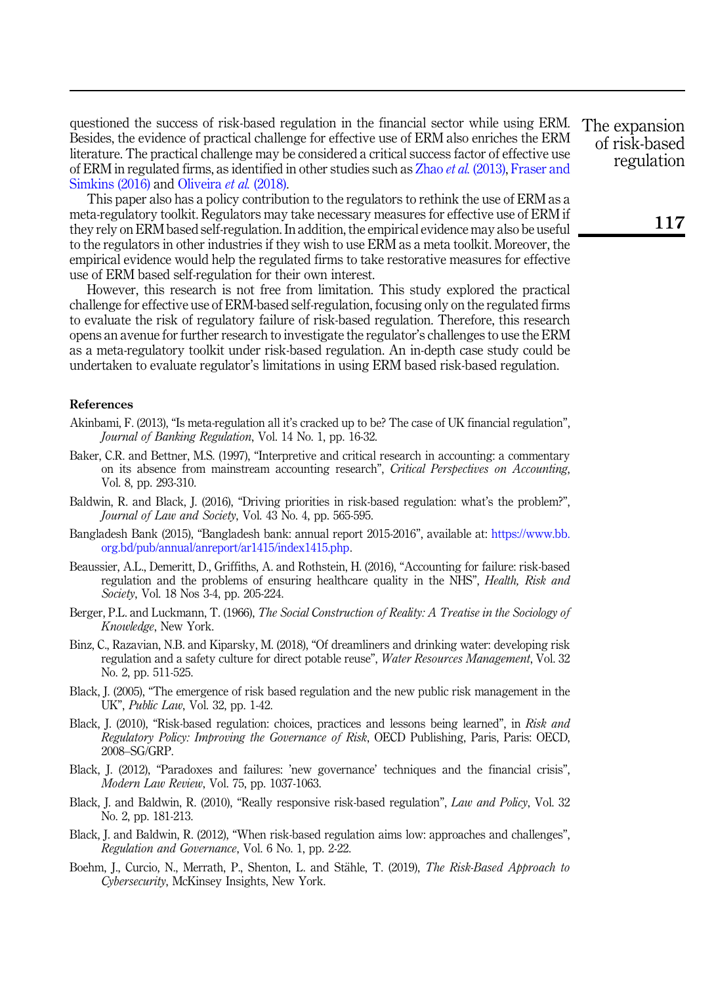questioned the success of risk-based regulation in the financial sector while using ERM. Besides, the evidence of practical challenge for effective use of ERM also enriches the ERM literature. The practical challenge may be considered a critical success factor of effective use of ERM in regulated firms, as identified in other studies such as Zhao et al. [\(2013\)](#page-16-7), [Fraser and](#page-15-20) [Simkins \(2016\)](#page-15-20) and [Oliveira](#page-15-21) *et al.* (2018).

This paper also has a policy contribution to the regulators to rethink the use of ERM as a meta-regulatory toolkit. Regulators may take necessary measures for effective use of ERM if they rely on ERM based self-regulation. In addition, the empirical evidence may also be useful to the regulators in other industries if they wish to use ERM as a meta toolkit. Moreover, the empirical evidence would help the regulated firms to take restorative measures for effective use of ERM based self-regulation for their own interest.

However, this research is not free from limitation. This study explored the practical challenge for effective use of ERM-based self-regulation, focusing only on the regulated firms to evaluate the risk of regulatory failure of risk-based regulation. Therefore, this research opens an avenue for further research to investigate the regulator's challenges to use the ERM as a meta-regulatory toolkit under risk-based regulation. An in-depth case study could be undertaken to evaluate regulator's limitations in using ERM based risk-based regulation.

#### References

- <span id="page-14-7"></span>Akinbami, F. (2013), "Is meta-regulation all it's cracked up to be? The case of UK financial regulation", Journal of Banking Regulation, Vol. 14 No. 1, pp. 16-32.
- <span id="page-14-10"></span>Baker, C.R. and Bettner, M.S. (1997), "Interpretive and critical research in accounting: a commentary on its absence from mainstream accounting research", Critical Perspectives on Accounting, Vol. 8, pp. 293-310.
- <span id="page-14-12"></span>Baldwin, R. and Black, J. (2016), "Driving priorities in risk-based regulation: what's the problem?", Journal of Law and Society, Vol. 43 No. 4, pp. 565-595.
- <span id="page-14-9"></span>Bangladesh Bank (2015), "Bangladesh bank: annual report 2015-2016", available at: [https://www.bb.](https://www.bb.org.bd/pub/annual/anreport/ar1415/index1415.php) [org.bd/pub/annual/anreport/ar1415/index1415.php.](https://www.bb.org.bd/pub/annual/anreport/ar1415/index1415.php)
- <span id="page-14-1"></span>Beaussier, A.L., Demeritt, D., Griffiths, A. and Rothstein, H. (2016), "Accounting for failure: risk-based regulation and the problems of ensuring healthcare quality in the NHS", *Health, Risk and* Society, Vol. 18 Nos 3-4, pp. 205-224.
- <span id="page-14-11"></span>Berger, P.L. and Luckmann, T. (1966), The Social Construction of Reality: A Treatise in the Sociology of Knowledge, New York.
- <span id="page-14-4"></span>Binz, C., Razavian, N.B. and Kiparsky, M. (2018), "Of dreamliners and drinking water: developing risk regulation and a safety culture for direct potable reuse", Water Resources Management, Vol. 32 No. 2, pp. 511-525.
- <span id="page-14-6"></span>Black, J. (2005), "The emergence of risk based regulation and the new public risk management in the UK", Public Law, Vol. 32, pp. 1-42.
- <span id="page-14-3"></span>Black, J. (2010), "Risk-based regulation: choices, practices and lessons being learned", in Risk and Regulatory Policy: Improving the Governance of Risk, OECD Publishing, Paris, Paris: OECD, 2008–SG/GRP.
- <span id="page-14-2"></span>Black, J. (2012), "Paradoxes and failures: 'new governance' techniques and the financial crisis", Modern Law Review, Vol. 75, pp. 1037-1063.
- <span id="page-14-0"></span>Black, J. and Baldwin, R. (2010), "Really responsive risk-based regulation", Law and Policy, Vol. 32 No. 2, pp. 181-213.
- <span id="page-14-8"></span>Black, J. and Baldwin, R. (2012), "When risk-based regulation aims low: approaches and challenges", Regulation and Governance, Vol. 6 No. 1, pp. 2-22.
- <span id="page-14-5"></span>Boehm, J., Curcio, N., Merrath, P., Shenton, L. and Stähle, T. (2019), The Risk-Based Approach to Cybersecurity, McKinsey Insights, New York.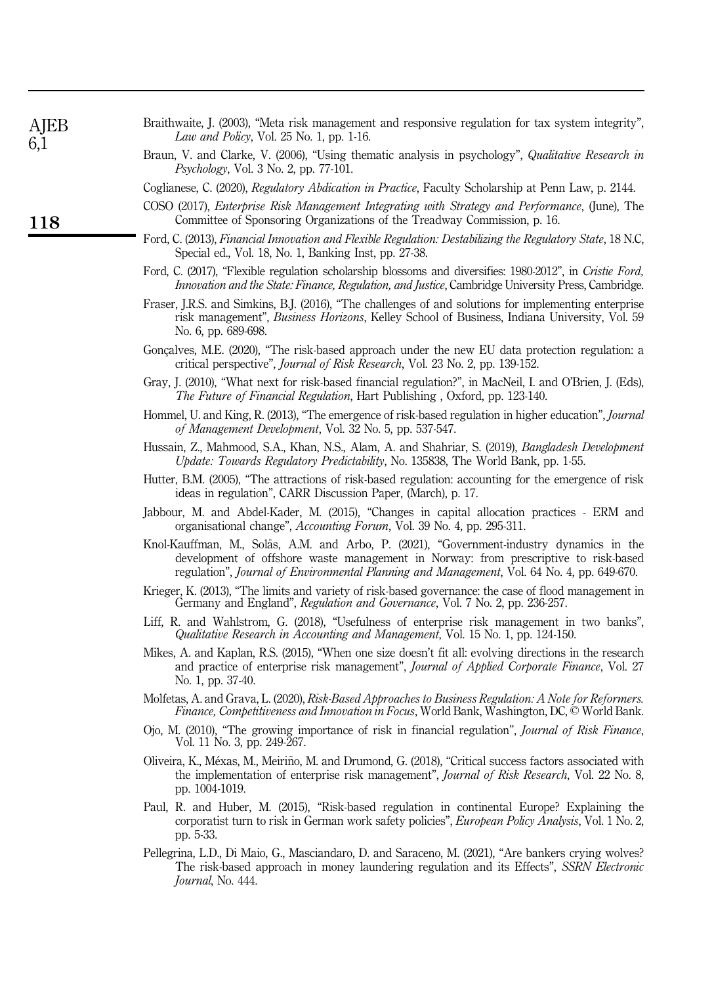<span id="page-15-21"></span><span id="page-15-20"></span><span id="page-15-19"></span><span id="page-15-18"></span><span id="page-15-17"></span><span id="page-15-16"></span><span id="page-15-15"></span><span id="page-15-14"></span><span id="page-15-13"></span><span id="page-15-12"></span><span id="page-15-11"></span><span id="page-15-10"></span><span id="page-15-9"></span><span id="page-15-8"></span><span id="page-15-7"></span><span id="page-15-6"></span><span id="page-15-5"></span><span id="page-15-4"></span><span id="page-15-3"></span><span id="page-15-2"></span><span id="page-15-1"></span><span id="page-15-0"></span>

| AJEB<br>6,1 | Braithwaite, J. (2003), "Meta risk management and responsive regulation for tax system integrity",<br><i>Law and Policy</i> , Vol. 25 No. 1, pp. 1-16.                                                                                                                        |
|-------------|-------------------------------------------------------------------------------------------------------------------------------------------------------------------------------------------------------------------------------------------------------------------------------|
|             | Braun, V. and Clarke, V. (2006), "Using thematic analysis in psychology", Qualitative Research in<br><i>Psychology</i> , Vol. 3 No. 2, pp. 77-101.                                                                                                                            |
|             | Coglianese, C. (2020), Regulatory Abdication in Practice, Faculty Scholarship at Penn Law, p. 2144.                                                                                                                                                                           |
| <b>118</b>  | COSO (2017), Enterprise Risk Management Integrating with Strategy and Performance, (June), The<br>Committee of Sponsoring Organizations of the Treadway Commission, p. 16.                                                                                                    |
|             | Ford, C. (2013), Financial Innovation and Flexible Regulation: Destabilizing the Regulatory State, 18 N.C.<br>Special ed., Vol. 18, No. 1, Banking Inst, pp. 27-38.                                                                                                           |
|             | Ford, C. (2017), "Flexible regulation scholarship blossoms and diversifies: 1980-2012", in Cristie Ford,<br>Innovation and the State: Finance, Regulation, and Justice, Cambridge University Press, Cambridge.                                                                |
|             | Fraser, J.R.S. and Simkins, B.J. (2016), "The challenges of and solutions for implementing enterprise<br>risk management", Business Horizons, Kelley School of Business, Indiana University, Vol. 59<br>No. 6, pp. 689-698.                                                   |
|             | Gonçalves, M.E. (2020), "The risk-based approach under the new EU data protection regulation: a<br>critical perspective", Journal of Risk Research, Vol. 23 No. 2, pp. 139-152.                                                                                               |
|             | Gray, J. (2010), "What next for risk-based financial regulation?", in MacNeil, I. and O'Brien, J. (Eds),<br><i>The Future of Financial Regulation</i> , Hart Publishing, Oxford, pp. 123-140.                                                                                 |
|             | Hommel, U. and King, R. (2013), "The emergence of risk-based regulation in higher education", <i>Journal</i><br>of Management Development, Vol. 32 No. 5, pp. 537-547.                                                                                                        |
|             | Hussain, Z., Mahmood, S.A., Khan, N.S., Alam, A. and Shahriar, S. (2019), Bangladesh Development<br>Update: Towards Regulatory Predictability, No. 135838, The World Bank, pp. 1-55.                                                                                          |
|             | Hutter, B.M. (2005), "The attractions of risk-based regulation: accounting for the emergence of risk<br>ideas in regulation", CARR Discussion Paper, (March), p. 17.                                                                                                          |
|             | Jabbour, M. and Abdel-Kader, M. (2015), "Changes in capital allocation practices - ERM and<br>organisational change", Accounting Forum, Vol. 39 No. 4, pp. 295-311.                                                                                                           |
|             | Knol-Kauffman, M., Solås, A.M. and Arbo, P. (2021), "Government-industry dynamics in the<br>development of offshore waste management in Norway: from prescriptive to risk-based<br>regulation", Journal of Environmental Planning and Management, Vol. 64 No. 4, pp. 649-670. |
|             | Krieger, K. (2013), "The limits and variety of risk-based governance: the case of flood management in<br>Germany and England", Regulation and Governance, Vol. 7 No. 2, pp. 236-257.                                                                                          |
|             | Liff, R. and Wahlstrom, G. (2018), "Usefulness of enterprise risk management in two banks",<br>Qualitative Research in Accounting and Management, Vol. 15 No. 1, pp. 124-150.                                                                                                 |
|             | Mikes, A. and Kaplan, R.S. (2015), "When one size doesn't fit all: evolving directions in the research<br>and practice of enterprise risk management", <i>Journal of Applied Corporate Finance</i> , Vol. 27<br>No. 1, pp. 37-40.                                             |
|             | Molfetas, A. and Grava, L. (2020), Risk-Based Approaches to Business Regulation: A Note for Reformers.<br>Finance, Competitiveness and Innovation in Focus, World Bank, Washington, DC, © World Bank.                                                                         |
|             | Ojo, M. (2010), "The growing importance of risk in financial regulation", <i>Journal of Risk Finance</i> ,<br>Vol. 11 No. 3, pp. 249-267.                                                                                                                                     |
|             | Oliveira, K., Méxas, M., Meiriño, M. and Drumond, G. (2018), "Critical success factors associated with<br>the implementation of enterprise risk management", Journal of Risk Research, Vol. 22 No. 8,<br>pp. 1004-1019.                                                       |
|             | Paul, R. and Huber, M. (2015), "Risk-based regulation in continental Europe? Explaining the<br>corporatist turn to risk in German work safety policies", European Policy Analysis, Vol. 1 No. 2,<br>pp. 5-33.                                                                 |
|             | Pellegrina, L.D., Di Maio, G., Masciandaro, D. and Saraceno, M. (2021), "Are bankers crying wolves?<br>The risk-based approach in money laundering regulation and its Effects", SSRN Electronic<br><i>Journal</i> , No. 444.                                                  |
|             |                                                                                                                                                                                                                                                                               |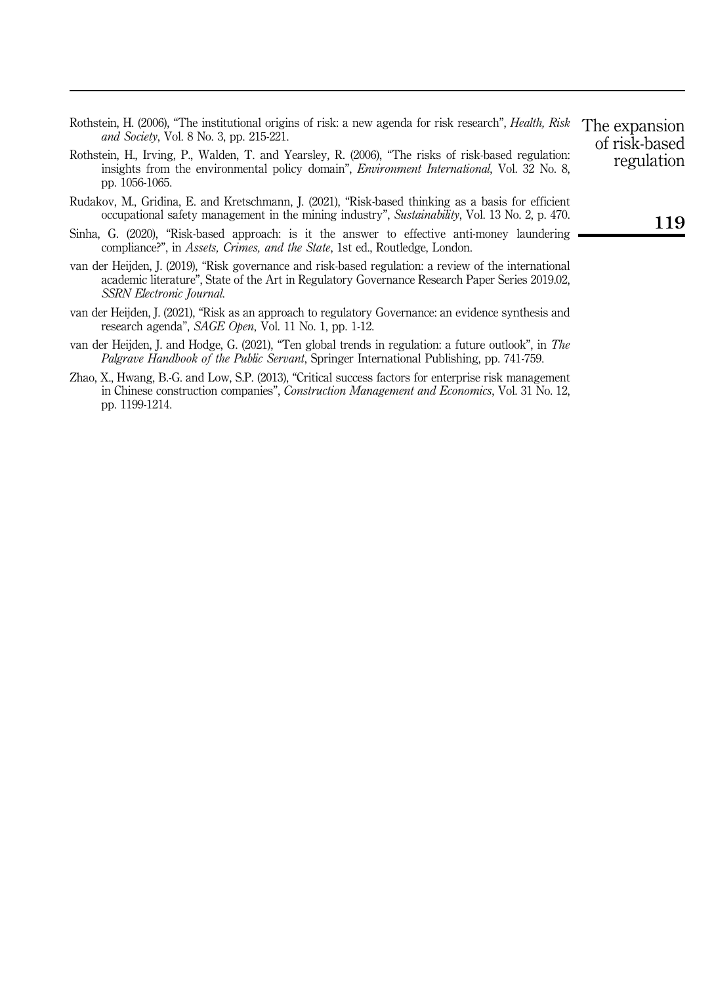<span id="page-16-0"></span>

| Rothstein, H. (2006), "The institutional origins of risk: a new agenda for risk research", <i>Health, Risk</i> |  |  |
|----------------------------------------------------------------------------------------------------------------|--|--|
| <i>and Society</i> , Vol. 8 No. 3, pp. 215-221.                                                                |  |  |

- <span id="page-16-2"></span>Rothstein, H., Irving, P., Walden, T. and Yearsley, R. (2006), "The risks of risk-based regulation: insights from the environmental policy domain", Environment International, Vol. 32 No. 8, pp. 1056-1065.
- <span id="page-16-1"></span>Rudakov, M., Gridina, E. and Kretschmann, J. (2021), "Risk-based thinking as a basis for efficient occupational safety management in the mining industry", Sustainability, Vol. 13 No. 2, p. 470.
- <span id="page-16-3"></span>Sinha, G. (2020), "Risk-based approach: is it the answer to effective anti-money laundering compliance?", in Assets, Crimes, and the State, 1st ed., Routledge, London.
- <span id="page-16-5"></span>van der Heijden, J. (2019), "Risk governance and risk-based regulation: a review of the international academic literature", State of the Art in Regulatory Governance Research Paper Series 2019.02, SSRN Electronic Journal.
- <span id="page-16-4"></span>van der Heijden, J. (2021), "Risk as an approach to regulatory Governance: an evidence synthesis and research agenda", SAGE Open, Vol. 11 No. 1, pp. 1-12.
- <span id="page-16-6"></span>van der Heijden, J. and Hodge, G. (2021), "Ten global trends in regulation: a future outlook", in The Palgrave Handbook of the Public Servant, Springer International Publishing, pp. 741-759.
- <span id="page-16-7"></span>Zhao, X., Hwang, B.-G. and Low, S.P. (2013), "Critical success factors for enterprise risk management in Chinese construction companies", Construction Management and Economics, Vol. 31 No. 12, pp. 1199-1214.

The expansion of risk-based regulation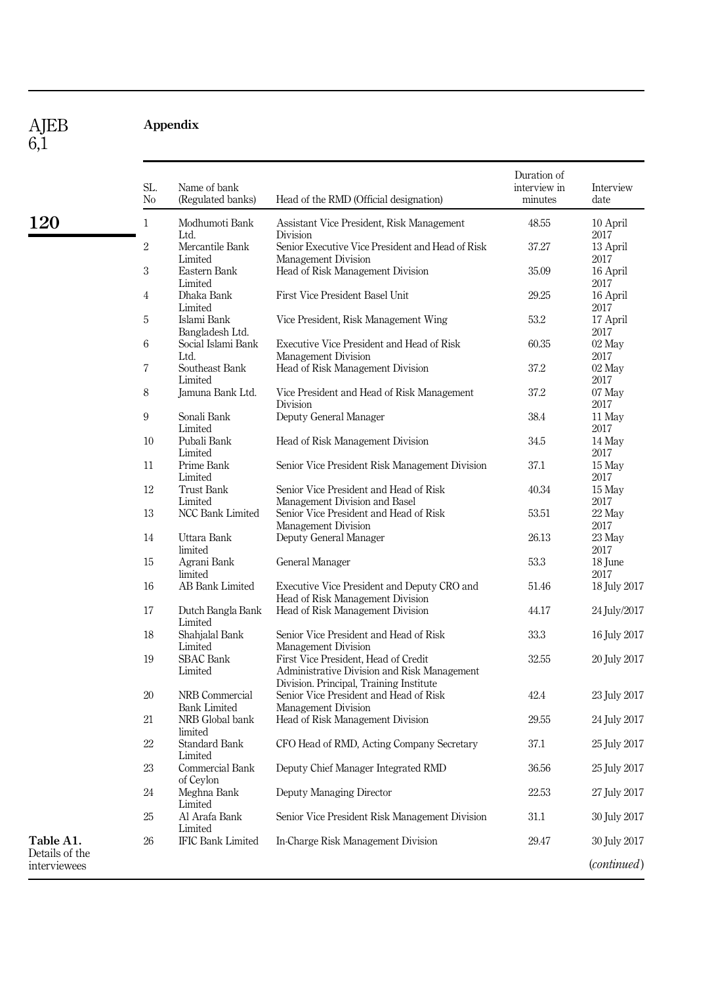AJEB 6,1

120

# <span id="page-17-0"></span>Appendix

|           | SL.<br>N <sub>0</sub> | Name of bank<br>(Regulated banks)     | Head of the RMD (Official designation)                                                                                         | Duration of<br>interview in<br>minutes | Interview<br>date                    |
|-----------|-----------------------|---------------------------------------|--------------------------------------------------------------------------------------------------------------------------------|----------------------------------------|--------------------------------------|
|           | $\mathbf{1}$          | Modhumoti Bank                        | Assistant Vice President, Risk Management                                                                                      | 48.55                                  | 10 April                             |
|           | $\overline{2}$        | Ltd.<br>Mercantile Bank               | Division<br>Senior Executive Vice President and Head of Risk                                                                   | 37.27                                  | 2017<br>13 April                     |
|           | 3                     | Limited<br>Eastern Bank<br>Limited    | Management Division<br>Head of Risk Management Division                                                                        | 35.09                                  | 2017<br>16 April<br>2017             |
|           | $\overline{4}$        | Dhaka Bank<br>Limited                 | First Vice President Basel Unit                                                                                                | 29.25                                  | 16 April<br>2017                     |
|           | 5                     | Islami Bank<br>Bangladesh Ltd.        | Vice President, Risk Management Wing                                                                                           | 53.2                                   | 17 April<br>2017                     |
|           | 6                     | Social Islami Bank<br>Ltd.            | Executive Vice President and Head of Risk<br>Management Division                                                               | 60.35                                  | 02 May<br>2017                       |
|           | 7                     | Southeast Bank<br>Limited             | Head of Risk Management Division                                                                                               | 37.2                                   | 02 May<br>2017                       |
|           | 8                     | Jamuna Bank Ltd.                      | Vice President and Head of Risk Management<br>Division                                                                         | 37.2                                   | 07 May<br>2017                       |
|           | 9                     | Sonali Bank<br>Limited                | Deputy General Manager                                                                                                         | 38.4                                   | 11 May<br>2017                       |
|           | 10                    | Pubali Bank<br>Limited                | Head of Risk Management Division                                                                                               | 34.5                                   | 14 May<br>2017                       |
|           | 11                    | Prime Bank<br>Limited                 | Senior Vice President Risk Management Division                                                                                 | 37.1                                   | 15 May<br>2017                       |
|           | 12                    | <b>Trust Bank</b><br>Limited          | Senior Vice President and Head of Risk<br>Management Division and Basel                                                        | 40.34                                  | 15 May<br>2017                       |
|           | 13                    | NCC Bank Limited                      | Senior Vice President and Head of Risk<br>Management Division                                                                  | 53.51                                  | 22 May<br>2017                       |
|           | 14                    | Uttara Bank<br>limited                | Deputy General Manager                                                                                                         | 26.13                                  | 23 May<br>2017                       |
|           | 15                    | Agrani Bank<br>limited                | General Manager                                                                                                                | 53.3                                   | 18 June<br>2017                      |
|           | 16                    | AB Bank Limited                       | Executive Vice President and Deputy CRO and<br>Head of Risk Management Division                                                | 51.46                                  | 18 July 2017                         |
|           | 17                    | Dutch Bangla Bank<br>Limited          | Head of Risk Management Division                                                                                               | 44.17                                  | 24 July/2017                         |
|           | 18                    | Shahjalal Bank<br>Limited             | Senior Vice President and Head of Risk<br>Management Division                                                                  | 33.3                                   | 16 July 2017                         |
|           | 19                    | <b>SBAC</b> Bank<br>Limited           | First Vice President, Head of Credit<br>Administrative Division and Risk Management<br>Division. Principal, Training Institute | 32.55                                  | 20 July 2017                         |
|           | 20                    | NRB Commercial<br><b>Bank Limited</b> | Senior Vice President and Head of Risk<br>Management Division                                                                  | 42.4                                   | 23 July 2017                         |
|           | 21                    | NRB Global bank<br>limited            | Head of Risk Management Division                                                                                               | 29.55                                  | 24 July 2017                         |
|           | 22                    | <b>Standard Bank</b><br>Limited       | CFO Head of RMD, Acting Company Secretary                                                                                      | 37.1                                   | 25 July 2017                         |
|           | 23                    | Commercial Bank<br>of Ceylon          | Deputy Chief Manager Integrated RMD                                                                                            | 36.56                                  | 25 July 2017                         |
|           | 24                    | Meghna Bank<br>Limited                | Deputy Managing Director                                                                                                       | 22.53                                  | 27 July 2017                         |
|           | 25                    | Al Arafa Bank<br>Limited              | Senior Vice President Risk Management Division                                                                                 | 31.1                                   | 30 July 2017                         |
| the<br>es | 26                    | <b>IFIC Bank Limited</b>              | In-Charge Risk Management Division                                                                                             | 29.47                                  | 30 July 2017<br>( <i>continued</i> ) |

Table A1. Details of the interviewe